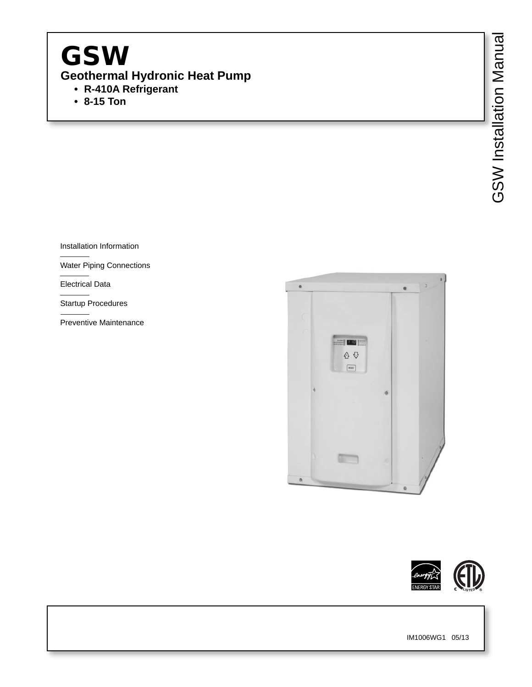# GSW **Geothermal Hydronic Heat Pump • R-410A Refrigerant**

 **• 8-15 Ton**

Installation Information

Water Piping Connections

Electrical Data

Startup Procedures

Preventive Maintenance



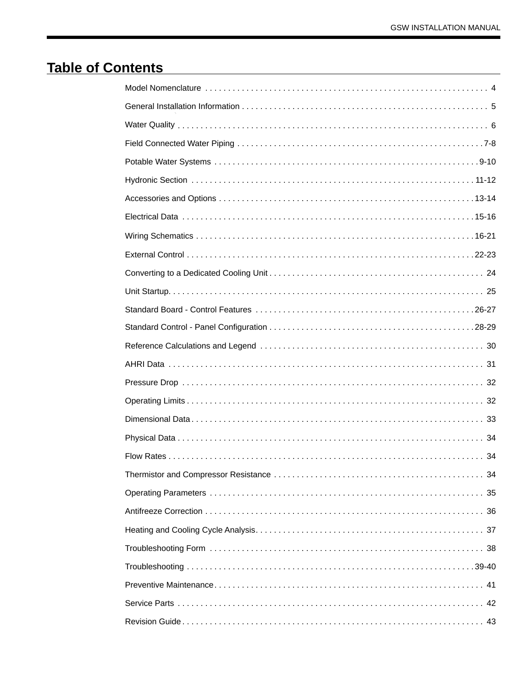# **Table of Contents**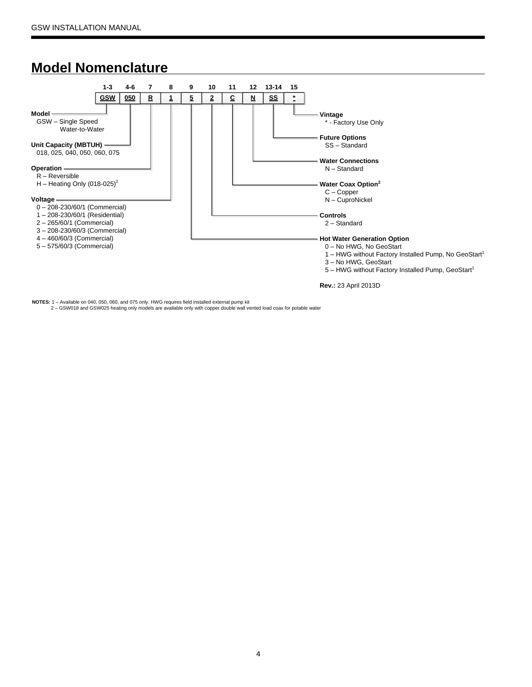### **Model Nomenclature**



**NOTES:** 1 – Available on 040, 050, 060, and 075 only. HWG requires field installed external pump kit

2 – GSW018 and GSW025 heating only models are available only with copper double wall vented load coax for potable water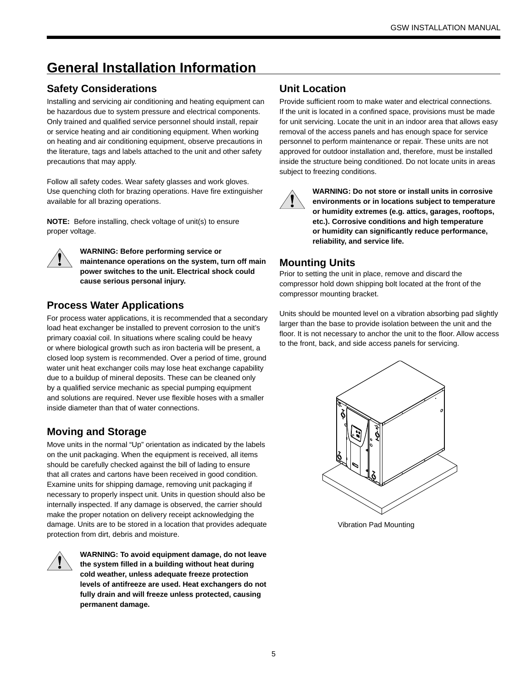# **General Installation Information**

### **Safety Considerations**

Installing and servicing air conditioning and heating equipment can be hazardous due to system pressure and electrical components. Only trained and qualified service personnel should install, repair or service heating and air conditioning equipment. When working on heating and air conditioning equipment, observe precautions in the literature, tags and labels attached to the unit and other safety precautions that may apply.

Follow all safety codes. Wear safety glasses and work gloves. Use quenching cloth for brazing operations. Have fire extinguisher available for all brazing operations.

**NOTE:** Before installing, check voltage of unit(s) to ensure proper voltage.



**WARNING: Before performing service or maintenance operations on the system, turn off main power switches to the unit. Electrical shock could cause serious personal injury.**

### **Process Water Applications**

For process water applications, it is recommended that a secondary load heat exchanger be installed to prevent corrosion to the unit's primary coaxial coil. In situations where scaling could be heavy or where biological growth such as iron bacteria will be present, a closed loop system is recommended. Over a period of time, ground water unit heat exchanger coils may lose heat exchange capability due to a buildup of mineral deposits. These can be cleaned only by a qualified service mechanic as special pumping equipment and solutions are required. Never use flexible hoses with a smaller inside diameter than that of water connections.

### **Moving and Storage**

Move units in the normal "Up" orientation as indicated by the labels on the unit packaging. When the equipment is received, all items should be carefully checked against the bill of lading to ensure that all crates and cartons have been received in good condition. Examine units for shipping damage, removing unit packaging if necessary to properly inspect unit. Units in question should also be internally inspected. If any damage is observed, the carrier should make the proper notation on delivery receipt acknowledging the damage. Units are to be stored in a location that provides adequate protection from dirt, debris and moisture.



**WARNING: To avoid equipment damage, do not leave the system filled in a building without heat during cold weather, unless adequate freeze protection levels of antifreeze are used. Heat exchangers do not fully drain and will freeze unless protected, causing permanent damage.** 

### **Unit Location**

Provide sufficient room to make water and electrical connections. If the unit is located in a confined space, provisions must be made for unit servicing. Locate the unit in an indoor area that allows easy removal of the access panels and has enough space for service personnel to perform maintenance or repair. These units are not approved for outdoor installation and, therefore, must be installed inside the structure being conditioned. Do not locate units in areas subject to freezing conditions.



**WARNING: Do not store or install units in corrosive environments or in locations subject to temperature or humidity extremes (e.g. attics, garages, rooftops, etc.). Corrosive conditions and high temperature or humidity can significantly reduce performance, reliability, and service life.**

### **Mounting Units**

Prior to setting the unit in place, remove and discard the compressor hold down shipping bolt located at the front of the compressor mounting bracket.

Units should be mounted level on a vibration absorbing pad slightly larger than the base to provide isolation between the unit and the floor. It is not necessary to anchor the unit to the floor. Allow access to the front, back, and side access panels for servicing.



Vibration Pad Mounting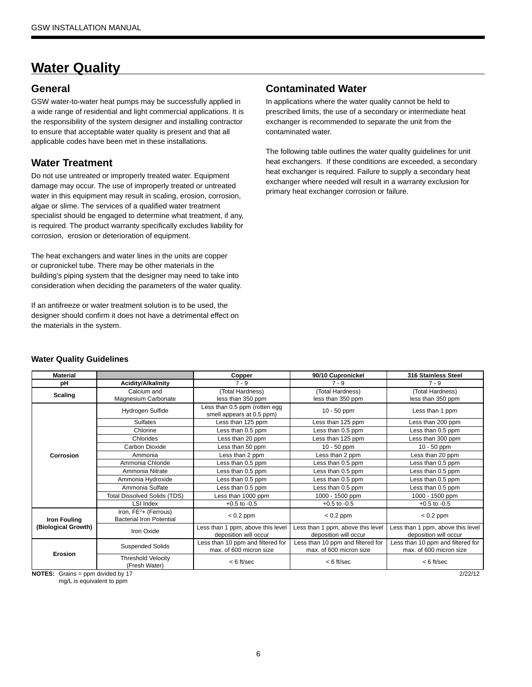# **Water Quality**

### **General**

GSW water-to-water heat pumps may be successfully applied in a wide range of residential and light commercial applications. It is the responsibility of the system designer and installing contractor to ensure that acceptable water quality is present and that all applicable codes have been met in these installations.

### **Water Treatment**

Do not use untreated or improperly treated water. Equipment damage may occur. The use of improperly treated or untreated water in this equipment may result in scaling, erosion, corrosion, algae or slime. The services of a qualified water treatment specialist should be engaged to determine what treatment, if any, is required. The product warranty specifically excludes liability for corrosion, erosion or deterioration of equipment.

The heat exchangers and water lines in the units are copper or cupronickel tube. There may be other materials in the building's piping system that the designer may need to take into consideration when deciding the parameters of the water quality.

If an antifreeze or water treatment solution is to be used, the designer should confirm it does not have a detrimental effect on the materials in the system.

### **Contaminated Water**

In applications where the water quality cannot be held to prescribed limits, the use of a secondary or intermediate heat exchanger is recommended to separate the unit from the contaminated water.

The following table outlines the water quality guidelines for unit heat exchangers. If these conditions are exceeded, a secondary heat exchanger is required. Failure to supply a secondary heat exchanger where needed will result in a warranty exclusion for primary heat exchanger corrosion or failure.

| <b>Material</b>     |                                                            | Copper                                                       | 90/10 Cupronickel                                            | 316 Stainless Steel                                          |
|---------------------|------------------------------------------------------------|--------------------------------------------------------------|--------------------------------------------------------------|--------------------------------------------------------------|
| рH                  | <b>Acidity/Alkalinity</b>                                  | $7 - 9$                                                      | $7 - 9$                                                      | $7 - 9$                                                      |
| <b>Scaling</b>      | Calcium and<br>Magnesium Carbonate                         | (Total Hardness)<br>less than 350 ppm                        | (Total Hardness)<br>less than 350 ppm                        | (Total Hardness)<br>less than 350 ppm                        |
|                     | Hydrogen Sulfide                                           | Less than 0.5 ppm (rotten egg<br>smell appears at 0.5 ppm)   | $10 - 50$ ppm                                                | Less than 1 ppm                                              |
|                     | <b>Sulfates</b>                                            | Less than 125 ppm                                            | Less than 125 ppm                                            | Less than 200 ppm                                            |
|                     | Chlorine                                                   | Less than 0.5 ppm                                            | Less than 0.5 ppm                                            | Less than 0.5 ppm                                            |
|                     | Chlorides                                                  | Less than 20 ppm                                             | Less than 125 ppm                                            | Less than 300 ppm                                            |
|                     | Carbon Dioxide                                             | Less than 50 ppm                                             | $10 - 50$ ppm                                                | $10 - 50$ ppm                                                |
| Corrosion           | Ammonia                                                    | Less than 2 ppm                                              | Less than 2 ppm                                              | Less than 20 ppm                                             |
|                     | Ammonia Chloride                                           | Less than 0.5 ppm                                            | Less than 0.5 ppm                                            | Less than 0.5 ppm                                            |
|                     | Ammonia Nitrate                                            | Less than 0.5 ppm                                            | Less than 0.5 ppm                                            | Less than 0.5 ppm                                            |
|                     | Ammonia Hydroxide                                          | Less than 0.5 ppm                                            | Less than 0.5 ppm                                            | Less than 0.5 ppm                                            |
|                     | Ammonia Sulfate                                            | Less than 0.5 ppm                                            | Less than 0.5 ppm                                            | Less than 0.5 ppm                                            |
|                     | <b>Total Dissolved Solids (TDS)</b>                        | Less than 1000 ppm                                           | 1000 - 1500 ppm                                              | 1000 - 1500 ppm                                              |
|                     | LSI Index                                                  | $+0.5$ to $-0.5$                                             | $+0.5$ to $-0.5$                                             | $+0.5$ to $-0.5$                                             |
| <b>Iron Fouling</b> | Iron, $FE2$ + (Ferrous)<br><b>Bacterial Iron Potential</b> | $< 0.2$ ppm                                                  | $< 0.2$ ppm                                                  | $< 0.2$ ppm                                                  |
| (Biological Growth) | Iron Oxide                                                 | Less than 1 ppm, above this level<br>deposition will occur   | Less than 1 ppm, above this level<br>deposition will occur   | Less than 1 ppm, above this level<br>deposition will occur   |
| <b>Erosion</b>      | <b>Suspended Solids</b>                                    | Less than 10 ppm and filtered for<br>max. of 600 micron size | Less than 10 ppm and filtered for<br>max. of 600 micron size | Less than 10 ppm and filtered for<br>max. of 600 micron size |
|                     | <b>Threshold Velocity</b><br>(Fresh Water)                 | $< 6$ ft/sec                                                 | $< 6$ ft/sec                                                 | $< 6$ ft/sec                                                 |
| $\cdots$            | .                                                          |                                                              |                                                              | $\sim$ $\sim$ $\sim$ $\sim$                                  |

#### **Water Quality Guidelines**

**NOTES:** Grains = ppm divided by 17

mg/L is equivalent to ppm

2/22/12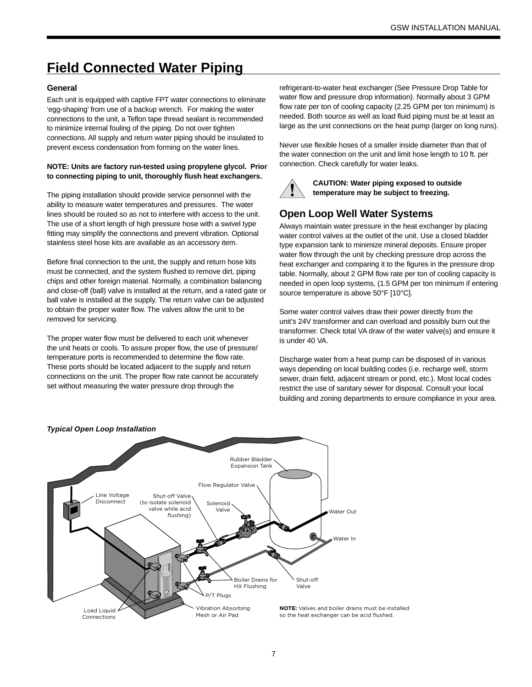# **Field Connected Water Piping**

#### **General**

Each unit is equipped with captive FPT water connections to eliminate 'egg-shaping' from use of a backup wrench. For making the water connections to the unit, a Teflon tape thread sealant is recommended to minimize internal fouling of the piping. Do not over tighten connections. All supply and return water piping should be insulated to prevent excess condensation from forming on the water lines.

#### **NOTE: Units are factory run-tested using propylene glycol. Prior to connecting piping to unit, thoroughly flush heat exchangers.**

The piping installation should provide service personnel with the ability to measure water temperatures and pressures. The water lines should be routed so as not to interfere with access to the unit. The use of a short length of high pressure hose with a swivel type fitting may simplify the connections and prevent vibration. Optional stainless steel hose kits are available as an accessory item.

Before final connection to the unit, the supply and return hose kits must be connected, and the system flushed to remove dirt, piping chips and other foreign material. Normally, a combination balancing and close-off (ball) valve is installed at the return, and a rated gate or ball valve is installed at the supply. The return valve can be adjusted to obtain the proper water flow. The valves allow the unit to be removed for servicing.

The proper water flow must be delivered to each unit whenever the unit heats or cools. To assure proper flow, the use of pressure/ temperature ports is recommended to determine the flow rate. These ports should be located adjacent to the supply and return connections on the unit. The proper flow rate cannot be accurately set without measuring the water pressure drop through the

refrigerant-to-water heat exchanger (See Pressure Drop Table for water flow and pressure drop information). Normally about 3 GPM flow rate per ton of cooling capacity (2.25 GPM per ton minimum) is needed. Both source as well as load fluid piping must be at least as large as the unit connections on the heat pump (larger on long runs).

Never use flexible hoses of a smaller inside diameter than that of the water connection on the unit and limit hose length to 10 ft. per connection. Check carefully for water leaks.



**CAUTION: Water piping exposed to outside temperature may be subject to freezing.**

### **Open Loop Well Water Systems**

Always maintain water pressure in the heat exchanger by placing water control valves at the outlet of the unit. Use a closed bladder type expansion tank to minimize mineral deposits. Ensure proper water flow through the unit by checking pressure drop across the heat exchanger and comparing it to the figures in the pressure drop table. Normally, about 2 GPM flow rate per ton of cooling capacity is needed in open loop systems, (1.5 GPM per ton minimum if entering source temperature is above 50°F [10°C].

Some water control valves draw their power directly from the unit's 24V transformer and can overload and possibly burn out the transformer. Check total VA draw of the water valve(s) and ensure it is under 40 VA.

Discharge water from a heat pump can be disposed of in various ways depending on local building codes (i.e. recharge well, storm sewer, drain field, adjacent stream or pond, etc.). Most local codes restrict the use of sanitary sewer for disposal. Consult your local building and zoning departments to ensure compliance in your area.

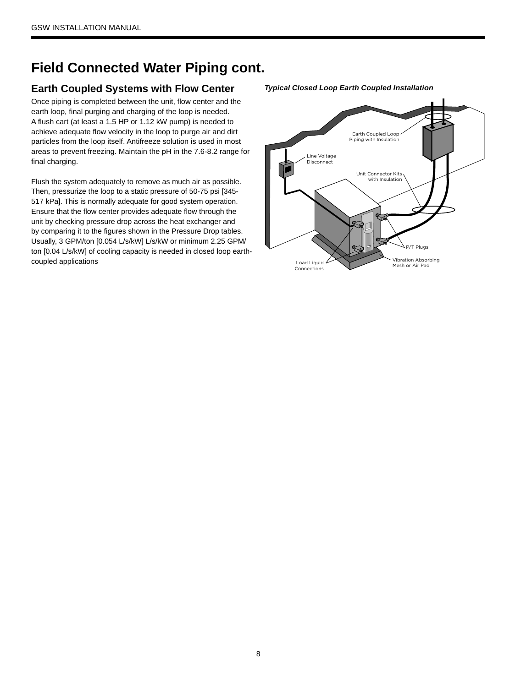# **Field Connected Water Piping cont.**

### **Earth Coupled Systems with Flow Center**

Once piping is completed between the unit, flow center and the earth loop, final purging and charging of the loop is needed. A flush cart (at least a 1.5 HP or 1.12 kW pump) is needed to achieve adequate flow velocity in the loop to purge air and dirt particles from the loop itself. Antifreeze solution is used in most areas to prevent freezing. Maintain the pH in the 7.6-8.2 range for final charging.

Flush the system adequately to remove as much air as possible. Then, pressurize the loop to a static pressure of 50-75 psi [345- 517 kPa]. This is normally adequate for good system operation. Ensure that the flow center provides adequate flow through the unit by checking pressure drop across the heat exchanger and by comparing it to the figures shown in the Pressure Drop tables. Usually, 3 GPM/ton [0.054 L/s/kW] L/s/kW or minimum 2.25 GPM/ ton [0.04 L/s/kW] of cooling capacity is needed in closed loop earthcoupled applications



*Typical Closed Loop Earth Coupled Installation*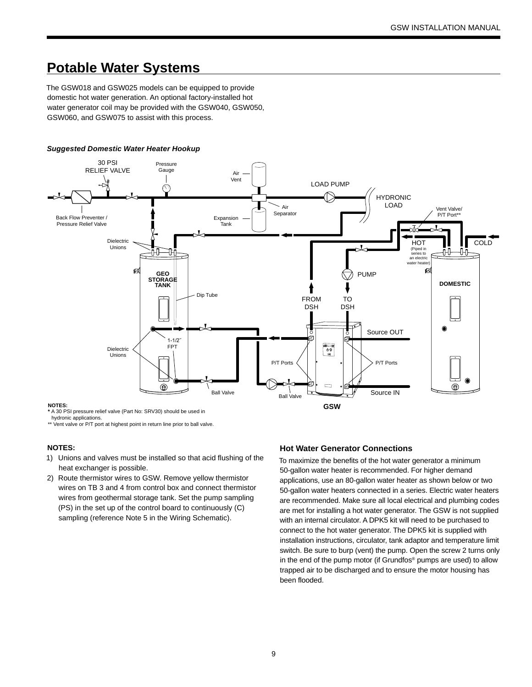### **Potable Water Systems**

The GSW018 and GSW025 models can be equipped to provide domestic hot water generation. An optional factory-installed hot water generator coil may be provided with the GSW040, GSW050, GSW060, and GSW075 to assist with this process.

#### *Suggested Domestic Water Heater Hookup*



hydronic applications.

\*\* Vent valve or P/T port at highest point in return line prior to ball valve.

#### **NOTES:**

- 1) Unions and valves must be installed so that acid flushing of the heat exchanger is possible.
- 2) Route thermistor wires to GSW. Remove yellow thermistor wires on TB 3 and 4 from control box and connect thermistor wires from geothermal storage tank. Set the pump sampling (PS) in the set up of the control board to continuously (C) sampling (reference Note 5 in the Wiring Schematic).

#### **Hot Water Generator Connections**

To maximize the benefits of the hot water generator a minimum 50-gallon water heater is recommended. For higher demand applications, use an 80-gallon water heater as shown below or two 50-gallon water heaters connected in a series. Electric water heaters are recommended. Make sure all local electrical and plumbing codes are met for installing a hot water generator. The GSW is not supplied with an internal circulator. A DPK5 kit will need to be purchased to connect to the hot water generator. The DPK5 kit is supplied with installation instructions, circulator, tank adaptor and temperature limit switch. Be sure to burp (vent) the pump. Open the screw 2 turns only in the end of the pump motor (if Grundfos® pumps are used) to allow trapped air to be discharged and to ensure the motor housing has been flooded.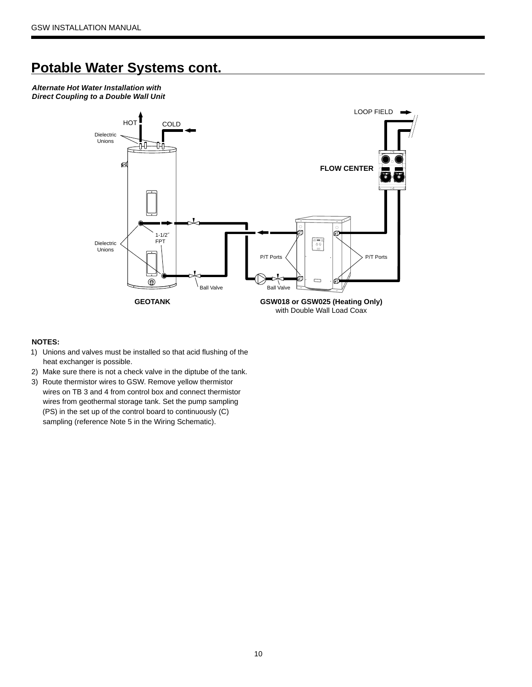### **Potable Water Systems cont.**

*Alternate Hot Water Installation with Direct Coupling to a Double Wall Unit*



#### **NOTES:**

- 1) Unions and valves must be installed so that acid flushing of the heat exchanger is possible.
- 2) Make sure there is not a check valve in the diptube of the tank.
- 3) Route thermistor wires to GSW. Remove yellow thermistor wires on TB 3 and 4 from control box and connect thermistor wires from geothermal storage tank. Set the pump sampling (PS) in the set up of the control board to continuously (C) sampling (reference Note 5 in the Wiring Schematic).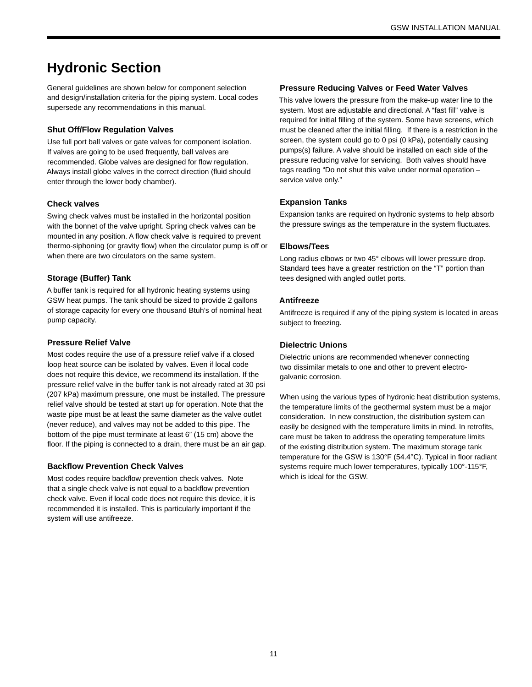# **Hydronic Section**

General guidelines are shown below for component selection and design/installation criteria for the piping system. Local codes supersede any recommendations in this manual.

#### **Shut Off/Flow Regulation Valves**

Use full port ball valves or gate valves for component isolation. If valves are going to be used frequently, ball valves are recommended. Globe valves are designed for flow regulation. Always install globe valves in the correct direction (fluid should enter through the lower body chamber).

#### **Check valves**

Swing check valves must be installed in the horizontal position with the bonnet of the valve upright. Spring check valves can be mounted in any position. A flow check valve is required to prevent thermo-siphoning (or gravity flow) when the circulator pump is off or when there are two circulators on the same system.

#### **Storage (Buffer) Tank**

A buffer tank is required for all hydronic heating systems using GSW heat pumps. The tank should be sized to provide 2 gallons of storage capacity for every one thousand Btuh's of nominal heat pump capacity.

#### **Pressure Relief Valve**

Most codes require the use of a pressure relief valve if a closed loop heat source can be isolated by valves. Even if local code does not require this device, we recommend its installation. If the pressure relief valve in the buffer tank is not already rated at 30 psi (207 kPa) maximum pressure, one must be installed. The pressure relief valve should be tested at start up for operation. Note that the waste pipe must be at least the same diameter as the valve outlet (never reduce), and valves may not be added to this pipe. The bottom of the pipe must terminate at least 6" (15 cm) above the floor. If the piping is connected to a drain, there must be an air gap.

#### **Backflow Prevention Check Valves**

Most codes require backflow prevention check valves. Note that a single check valve is not equal to a backflow prevention check valve. Even if local code does not require this device, it is recommended it is installed. This is particularly important if the system will use antifreeze.

#### **Pressure Reducing Valves or Feed Water Valves**

This valve lowers the pressure from the make-up water line to the system. Most are adjustable and directional. A "fast fill" valve is required for initial filling of the system. Some have screens, which must be cleaned after the initial filling. If there is a restriction in the screen, the system could go to 0 psi (0 kPa), potentially causing pumps(s) failure. A valve should be installed on each side of the pressure reducing valve for servicing. Both valves should have tags reading "Do not shut this valve under normal operation – service valve only."

#### **Expansion Tanks**

Expansion tanks are required on hydronic systems to help absorb the pressure swings as the temperature in the system fluctuates.

#### **Elbows/Tees**

Long radius elbows or two 45° elbows will lower pressure drop. Standard tees have a greater restriction on the "T" portion than tees designed with angled outlet ports.

#### **Antifreeze**

Antifreeze is required if any of the piping system is located in areas subject to freezing.

#### **Dielectric Unions**

Dielectric unions are recommended whenever connecting two dissimilar metals to one and other to prevent electrogalvanic corrosion.

When using the various types of hydronic heat distribution systems, the temperature limits of the geothermal system must be a major consideration. In new construction, the distribution system can easily be designed with the temperature limits in mind. In retrofits, care must be taken to address the operating temperature limits of the existing distribution system. The maximum storage tank temperature for the GSW is 130°F (54.4°C). Typical in floor radiant systems require much lower temperatures, typically 100°-115°F, which is ideal for the GSW.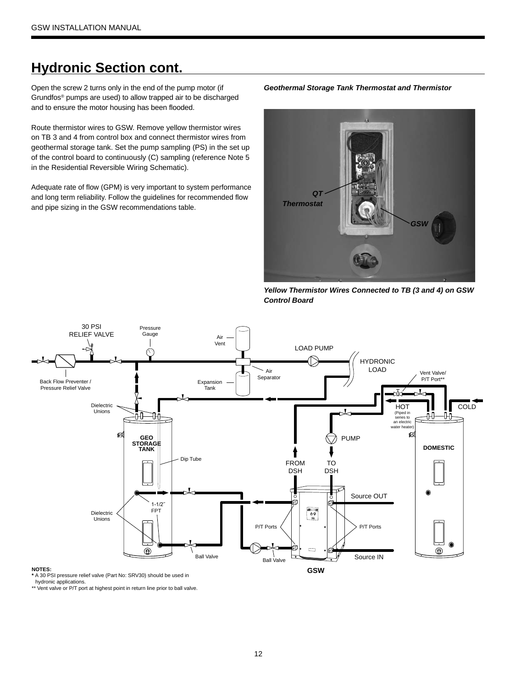### **Hydronic Section cont.**

Open the screw 2 turns only in the end of the pump motor (if Grundfos® pumps are used) to allow trapped air to be discharged and to ensure the motor housing has been flooded.

Route thermistor wires to GSW. Remove yellow thermistor wires on TB 3 and 4 from control box and connect thermistor wires from geothermal storage tank. Set the pump sampling (PS) in the set up of the control board to continuously (C) sampling (reference Note 5 in the Residential Reversible Wiring Schematic).

Adequate rate of flow (GPM) is very important to system performance and long term reliability. Follow the guidelines for recommended flow and pipe sizing in the GSW recommendations table.





*Yellow Thermistor Wires Connected to TB (3 and 4) on GSW Control Board*



hydronic applications.

\*\* Vent valve or P/T port at highest point in return line prior to ball valve.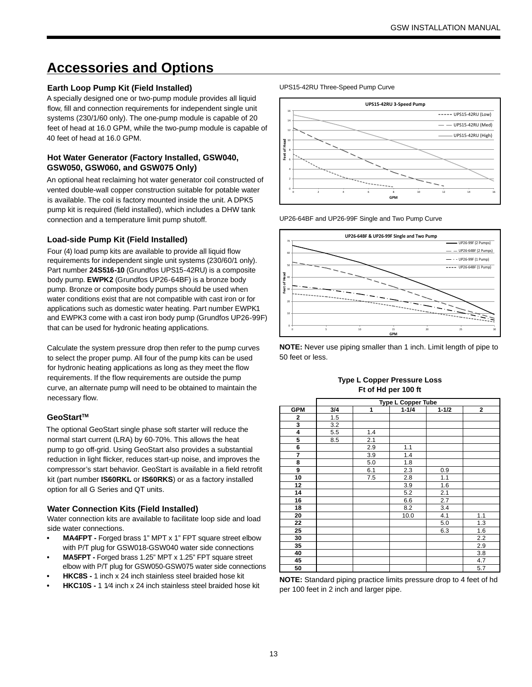### **Accessories and Options**

#### **Earth Loop Pump Kit (Field Installed)**

A specially designed one or two-pump module provides all liquid flow, fill and connection requirements for independent single unit systems (230/1/60 only). The one-pump module is capable of 20 feet of head at 16.0 GPM, while the two-pump module is capable of 40 feet of head at 16.0 GPM.

#### **Hot Water Generator (Factory Installed, GSW040, GSW050, GSW060, and GSW075 Only)**

An optional heat reclaiming hot water generator coil constructed of vented double-wall copper construction suitable for potable water is available. The coil is factory mounted inside the unit. A DPK5 pump kit is required (field installed), which includes a DHW tank connection and a temperature limit pump shutoff.

#### **Load-side Pump Kit (Field Installed)**

Four (4) load pump kits are available to provide all liquid flow requirements for independent single unit systems (230/60/1 only). Part number **24S516-10** (Grundfos UPS15-42RU) is a composite body pump. **EWPK2** (Grundfos UP26-64BF) is a bronze body pump. Bronze or composite body pumps should be used when water conditions exist that are not compatible with cast iron or for applications such as domestic water heating. Part number EWPK1 and EWPK3 come with a cast iron body pump (Grundfos UP26-99F) that can be used for hydronic heating applications.

Calculate the system pressure drop then refer to the pump curves to select the proper pump. All four of the pump kits can be used for hydronic heating applications as long as they meet the flow requirements. If the flow requirements are outside the pump curve, an alternate pump will need to be obtained to maintain the necessary flow.

#### **GeoStartTM**

The optional GeoStart single phase soft starter will reduce the normal start current (LRA) by 60-70%. This allows the heat pump to go off-grid. Using GeoStart also provides a substantial reduction in light flicker, reduces start-up noise, and improves the compressor's start behavior. GeoStart is available in a field retrofit kit (part number **IS60RKL** or **IS60RKS**) or as a factory installed option for all G Series and QT units.

#### **Water Connection Kits (Field Installed)**

Water connection kits are available to facilitate loop side and load side water connections.

- **MA4FPT -** Forged brass 1" MPT x 1" FPT square street elbow with P/T plug for GSW018-GSW040 water side connections
- **MA5FPT -** Forged brass 1.25" MPT x 1.25" FPT square street elbow with P/T plug for GSW050-GSW075 water side connections
- **HKC8S -** 1 inch x 24 inch stainless steel braided hose kit
- **HKC10S -** 1 1⁄4 inch x 24 inch stainless steel braided hose kit

UPS15-42RU Three-Speed Pump Curve



UP26-64BF and UP26-99F Single and Two Pump Curve



**NOTE:** Never use piping smaller than 1 inch. Limit length of pipe to 50 feet or less.

#### **Type L Copper Pressure Loss Ft of Hd per 100 ft**

|                |     |     | <b>Type L Copper Tube</b> |           |              |
|----------------|-----|-----|---------------------------|-----------|--------------|
| <b>GPM</b>     | 3/4 | 1   | $1 - 1/4$                 | $1 - 1/2$ | $\mathbf{2}$ |
| 2              | 1.5 |     |                           |           |              |
| 3              | 3.2 |     |                           |           |              |
| 4              | 5.5 | 1.4 |                           |           |              |
| $\overline{5}$ | 8.5 | 2.1 |                           |           |              |
| 6              |     | 2.9 | 1.1                       |           |              |
| $\overline{7}$ |     | 3.9 | 1.4                       |           |              |
| 8              |     | 5.0 | 1.8                       |           |              |
| 9              |     | 6.1 | 2.3                       | 0.9       |              |
| 10             |     | 7.5 | 2.8                       | 1.1       |              |
| 12             |     |     | 3.9                       | 1.6       |              |
| 14             |     |     | 5.2                       | 2.1       |              |
| 16             |     |     | 6.6                       | 2.7       |              |
| 18             |     |     | 8.2                       | 3.4       |              |
| 20             |     |     | 10.0                      | 4.1       | 1.1          |
| 22             |     |     |                           | 5.0       | 1.3          |
| 25             |     |     |                           | 6.3       | 1.6          |
| 30             |     |     |                           |           | 2.2          |
| 35             |     |     |                           |           | 2.9          |
| 40             |     |     |                           |           | 3.8          |
| 45             |     |     |                           |           | 4.7          |
| 50             |     |     |                           |           | 5.7          |

**NOTE:** Standard piping practice limits pressure drop to 4 feet of hd per 100 feet in 2 inch and larger pipe.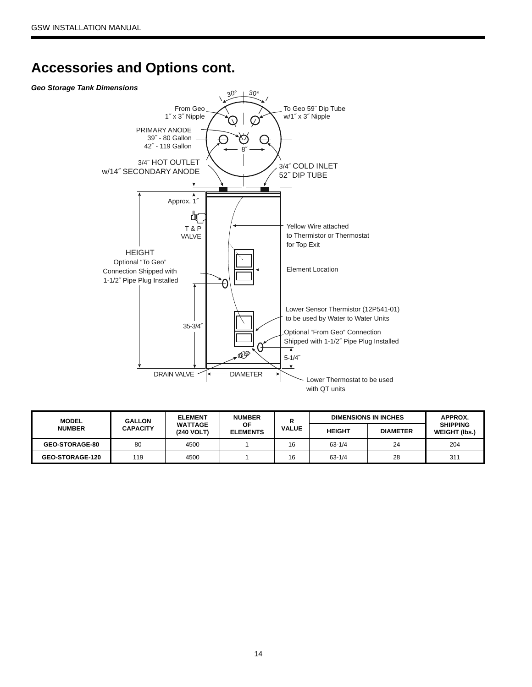### **Accessories and Options cont.**

#### *Geo Storage Tank Dimensions*



| <b>MODEL</b>          | <b>ELEMENT</b><br><b>NUMBER</b><br><b>GALLON</b> |                              | <b>DIMENSIONS IN INCHES</b> | APPROX.      |               |                 |                                         |  |
|-----------------------|--------------------------------------------------|------------------------------|-----------------------------|--------------|---------------|-----------------|-----------------------------------------|--|
| <b>NUMBER</b>         | <b>CAPACITY</b>                                  | <b>WATTAGE</b><br>(240 VOLT) | ΟF<br><b>ELEMENTS</b>       | <b>VALUE</b> | <b>HEIGHT</b> | <b>DIAMETER</b> | <b>SHIPPING</b><br><b>WEIGHT (Ibs.)</b> |  |
| <b>GEO-STORAGE-80</b> | 80                                               | 4500                         |                             | 16           | $63 - 1/4$    | 24              | 204                                     |  |
| GEO-STORAGE-120       | 119                                              | 4500                         |                             | 16           | $63 - 1/4$    | 28              | 311                                     |  |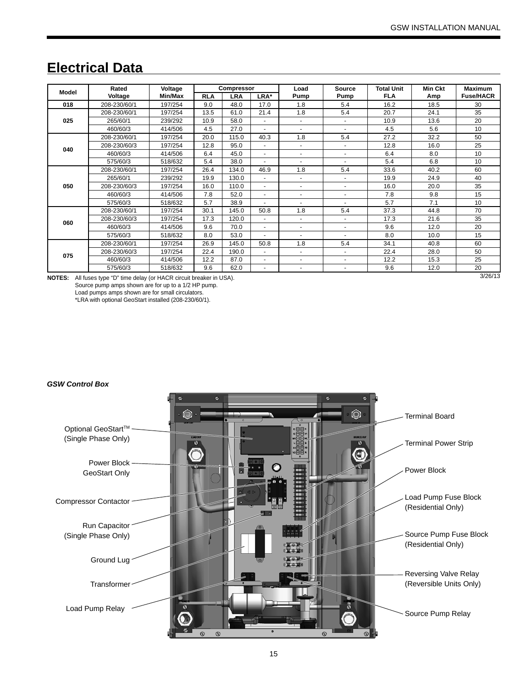### **Electrical Data**

|               | Rated                                                          | Voltage |            | Compressor |      | Load                     | <b>Source</b>  | <b>Total Unit</b> | <b>Min Ckt</b> | <b>Maximum</b>   |
|---------------|----------------------------------------------------------------|---------|------------|------------|------|--------------------------|----------------|-------------------|----------------|------------------|
| Model         | Voltage                                                        | Min/Max | <b>RLA</b> | <b>LRA</b> | LRA* | Pump                     | Pump           | <b>FLA</b>        | Amp            | <b>Fuse/HACR</b> |
| 018           | 208-230/60/1                                                   | 197/254 | 9.0        | 48.0       | 17.0 | 1.8                      | 5.4            | 16.2              | 18.5           | 30               |
|               | 208-230/60/1                                                   | 197/254 | 13.5       | 61.0       | 21.4 | 1.8                      | 5.4            | 20.7              | 24.1           | 35               |
| 025           | 265/60/1                                                       | 239/292 | 10.9       | 58.0       |      |                          |                | 10.9              | 13.6           | 20               |
|               | 460/60/3                                                       | 414/506 | 4.5        | 27.0       |      |                          |                | 4.5               | 5.6            | 10               |
|               | 208-230/60/1                                                   | 197/254 | 20.0       | 115.0      | 40.3 | 1.8                      | 5.4            | 27.2              | 32.2           | 50               |
| 040           | 208-230/60/3                                                   | 197/254 | 12.8       | 95.0       |      |                          |                | 12.8              | 16.0           | 25               |
|               | 460/60/3                                                       | 414/506 | 6.4        | 45.0       |      |                          | ٠              | 6.4               | 8.0            | 10               |
|               | 575/60/3                                                       | 518/632 | 5.4        | 38.0       |      | $\overline{\phantom{a}}$ | $\blacksquare$ | 5.4               | 6.8            | 10 <sup>1</sup>  |
|               | 208-230/60/1                                                   | 197/254 | 26.4       | 134.0      | 46.9 | 1.8                      | 5.4            | 33.6              | 40.2           | 60               |
|               | 265/60/1                                                       | 239/292 | 19.9       | 130.0      |      |                          |                | 19.9              | 24.9           | 40               |
| 050           | 208-230/60/3                                                   | 197/254 | 16.0       | 110.0      |      |                          |                | 16.0              | 20.0           | 35               |
|               | 460/60/3                                                       | 414/506 | 7.8        | 52.0       |      |                          |                | 7.8               | 9.8            | 15               |
|               | 575/60/3                                                       | 518/632 | 5.7        | 38.9       |      |                          |                | 5.7               | 7.1            | 10               |
|               | 208-230/60/1                                                   | 197/254 | 30.1       | 145.0      | 50.8 | 1.8                      | 5.4            | 37.3              | 44.8           | 70               |
| 060           | 208-230/60/3                                                   | 197/254 | 17.3       | 120.0      |      |                          | ٠              | 17.3              | 21.6           | 35               |
|               | 460/60/3                                                       | 414/506 | 9.6        | 70.0       |      |                          | ٠              | 9.6               | 12.0           | 20               |
|               | 575/60/3                                                       | 518/632 | 8.0        | 53.0       | ٠    | $\overline{\phantom{a}}$ | ٠              | 8.0               | 10.0           | 15               |
|               | 208-230/60/1                                                   | 197/254 | 26.9       | 145.0      | 50.8 | 1.8                      | 5.4            | 34.1              | 40.8           | 60               |
| 075           | 208-230/60/3                                                   | 197/254 | 22.4       | 190.0      |      |                          | ٠              | 22.4              | 28.0           | 50               |
|               | 460/60/3                                                       | 414/506 | 12.2       | 87.0       |      | $\overline{\phantom{a}}$ | ٠              | 12.2              | 15.3           | 25               |
|               | 575/60/3                                                       | 518/632 | 9.6        | 62.0       | ٠    | ٠                        | ٠              | 9.6               | 12.0           | 20               |
| <b>NOTES:</b> | All fuses type "D" time delay (or HACR circuit breaker in USA) |         |            |            |      |                          |                |                   |                | 3/26/13          |

**NOTES:** All fuses type "D" time delay (or HACR circuit breaker in USA). Source pump amps shown are for up to a 1/2 HP pump. Load pumps amps shown are for small circulators. \*LRA with optional GeoStart installed (208-230/60/1).

*GSW Control Box*

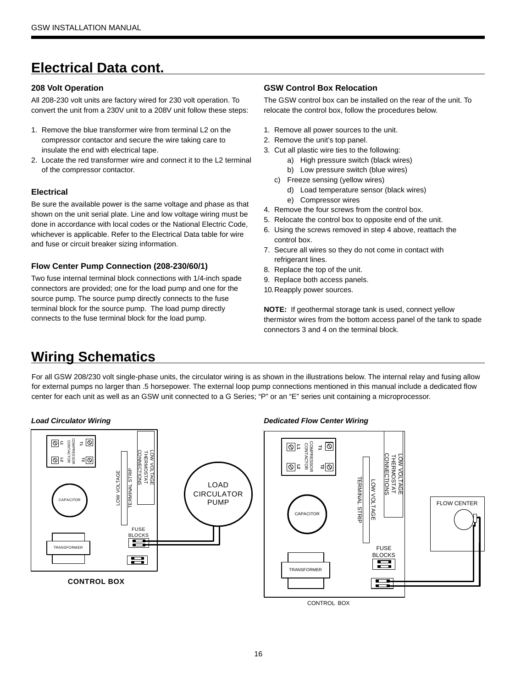# **Electrical Data cont.**

#### **208 Volt Operation**

All 208-230 volt units are factory wired for 230 volt operation. To convert the unit from a 230V unit to a 208V unit follow these steps:

- 1. Remove the blue transformer wire from terminal L2 on the compressor contactor and secure the wire taking care to insulate the end with electrical tape.
- 2. Locate the red transformer wire and connect it to the L2 terminal of the compressor contactor.

#### **Electrical**

Be sure the available power is the same voltage and phase as that shown on the unit serial plate. Line and low voltage wiring must be done in accordance with local codes or the National Electric Code, whichever is applicable. Refer to the Electrical Data table for wire and fuse or circuit breaker sizing information.

#### **Flow Center Pump Connection (208-230/60/1)**

Two fuse internal terminal block connections with 1/4-inch spade connectors are provided; one for the load pump and one for the source pump. The source pump directly connects to the fuse terminal block for the source pump. The load pump directly connects to the fuse terminal block for the load pump.

#### **GSW Control Box Relocation**

The GSW control box can be installed on the rear of the unit. To relocate the control box, follow the procedures below.

- 1. Remove all power sources to the unit.
- 2. Remove the unit's top panel.
- 3. Cut all plastic wire ties to the following:
	- a) High pressure switch (black wires)
	- b) Low pressure switch (blue wires)
	- c) Freeze sensing (yellow wires)
		- d) Load temperature sensor (black wires)
	- e) Compressor wires
- 4. Remove the four screws from the control box.
- 5. Relocate the control box to opposite end of the unit.
- 6. Using the screws removed in step 4 above, reattach the control box.
- 7. Secure all wires so they do not come in contact with refrigerant lines.
- 8. Replace the top of the unit.
- 9. Replace both access panels.
- 10. Reapply power sources.

**NOTE:** If geothermal storage tank is used, connect yellow thermistor wires from the bottom access panel of the tank to spade connectors 3 and 4 on the terminal block.

# **Wiring Schematics**

For all GSW 208/230 volt single-phase units, the circulator wiring is as shown in the illustrations below. The internal relay and fusing allow for external pumps no larger than .5 horsepower. The external loop pump connections mentioned in this manual include a dedicated flow center for each unit as well as an GSW unit connected to a G Series; "P" or an "E" series unit containing a microprocessor.

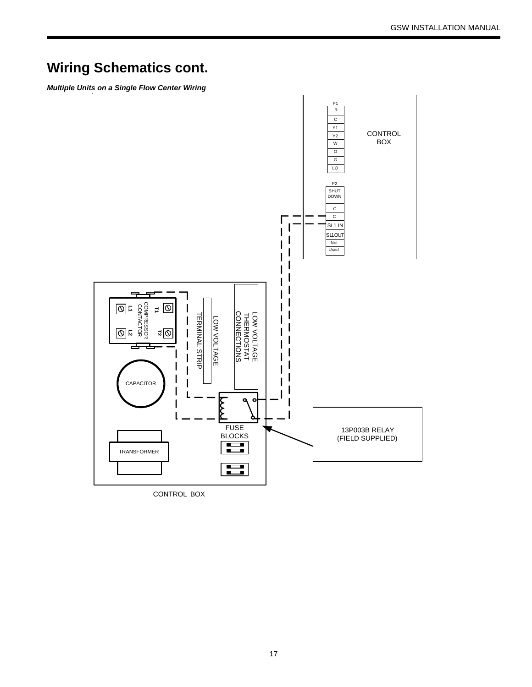# **Wiring Schematics cont.**

*Multiple Units on a Single Flow Center Wiring*



CONTROL BOX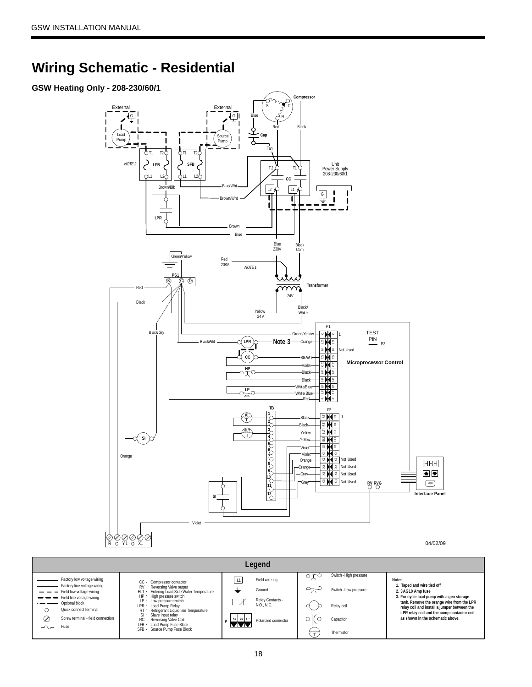### **Wiring Schematic - Residential**

### **GSW Heating Only - 208-230/60/1**

Quick connect terminal Screw terminal - field connection

> LFB - SFB -

Fuse

 $\circ$  $\oslash$  $\sim$ 



**LPR relay coil and the comp contactor coil as shown in the schematic above.** 

 $\sim$  1  $\omega$ 

**P**  $\begin{bmatrix} \sim & \sim & \sim \\ \sim & \sim & \sim \\ \sim & \sim & \sim \end{bmatrix}$  Polarized connector  $\begin{bmatrix} \sim & \sim & \sim & \sim \\ & \sim & \sim & \sim & \sim \end{bmatrix}$ 

 $\begin{pmatrix} 1 & 1 \\ 1 & 1 \end{pmatrix}$  Thermistor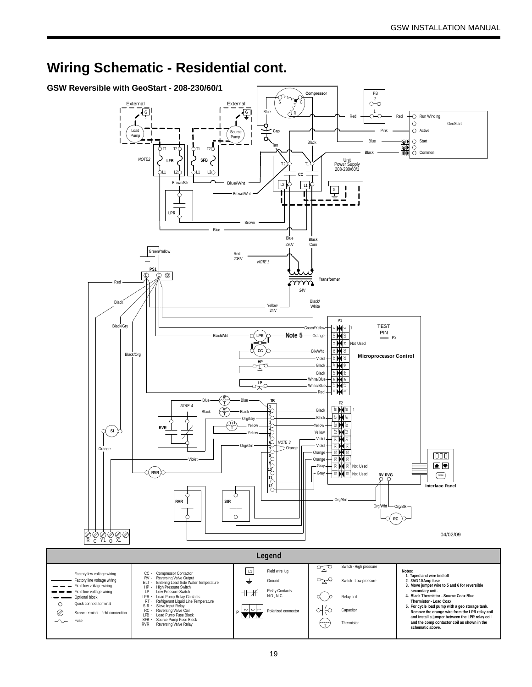

### **Wiring Schematic - Residential cont.**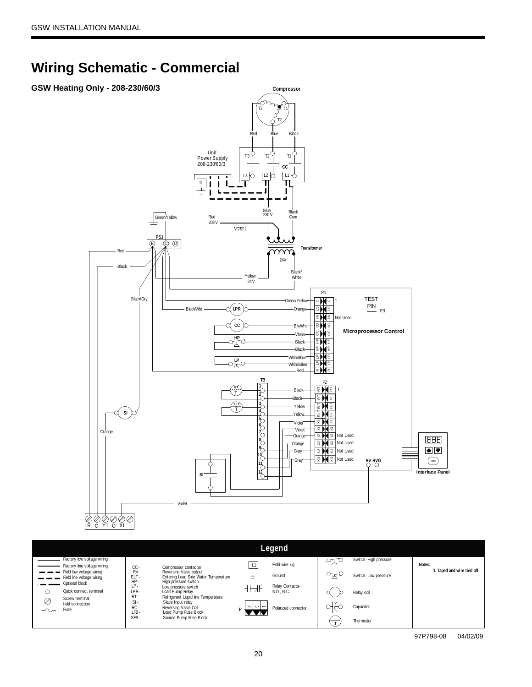# **Wiring Schematic - Commercial**

### **GSW Heating Only - 208-230/60/3**



|                                                                         |                                                                                                                                            | Legend                                                   |                                             |                            |
|-------------------------------------------------------------------------|--------------------------------------------------------------------------------------------------------------------------------------------|----------------------------------------------------------|---------------------------------------------|----------------------------|
| Factory low voltage wiring<br>Factory line voltage wiring               | CC-                                                                                                                                        | Field wire lug<br>L1                                     | Switch - High pressure<br>$\circ$ r $\circ$ | Notes:                     |
| Field low voltage wiring<br>Field line voltage wiring<br>Optional block | Compressor contactor<br><b>RV</b><br>Reversing Valve output<br>ELT-<br>Entering Load Side Water Temperature<br>HP-<br>High pressure switch | Ground<br>÷                                              | Switch - Low pressure                       | 1. Taped and wire tied off |
| Quick connect terminal<br>C<br>Screw terminal                           | IP.<br>Low pressure switch<br>LPR-<br>Load Pump Relay<br>$RT -$<br>Refrigerant Liquid line Temperature                                     | Relay Contacts<br>⇁<br>N.O., N.C.                        | Relay coil                                  |                            |
| Ø<br>field connection<br>Fuse<br>$\overline{\wedge}$                    | $SI -$<br>Slave Input relay<br>$RC -$<br>Reversing Valve Coil<br>$LFB -$<br>Load Pump Fuse Block                                           | $\sim$<br>ا دے ا<br>$\rightarrow$<br>Polarized connector | жк<br>Capacitor                             |                            |
|                                                                         | SFB-<br>Source Pump Fuse Block                                                                                                             |                                                          | سيسها<br>Thermistor                         |                            |

97P798-08 04/02/09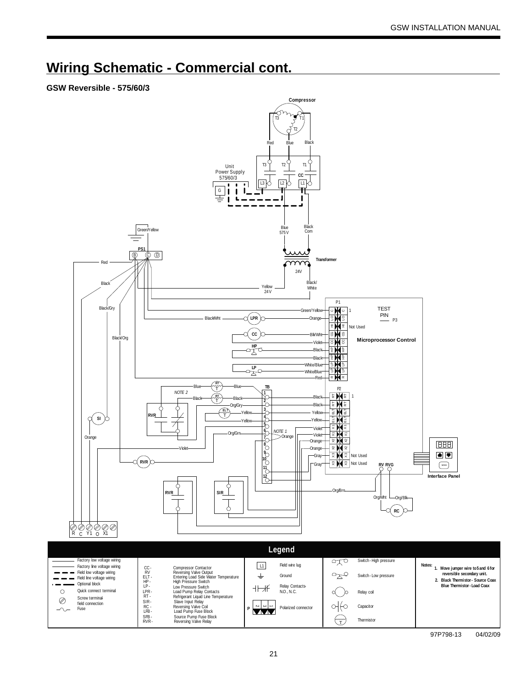### **Wiring Schematic - Commercial cont.**

### **GSW Reversible - 575/60/3**



97P798-13 04/02/09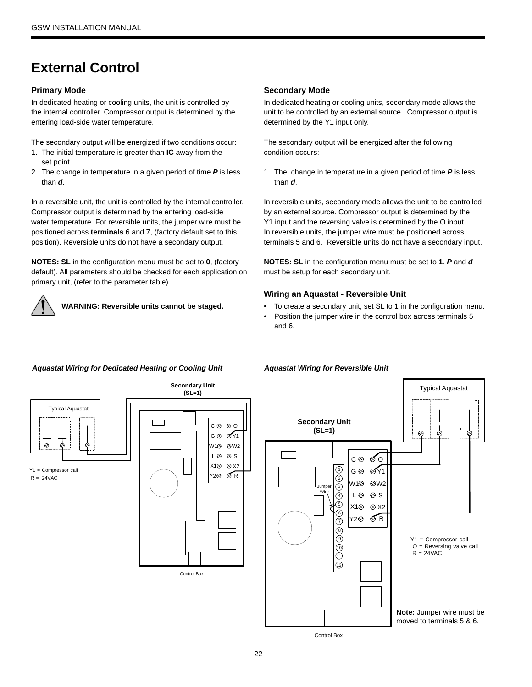# **External Control**

#### **Primary Mode**

In dedicated heating or cooling units, the unit is controlled by the internal controller. Compressor output is determined by the entering load-side water temperature.

The secondary output will be energized if two conditions occur:

- 1. The initial temperature is greater than **IC** away from the set point.
- 2. The change in temperature in a given period of time *P* is less than *d*.

In a reversible unit, the unit is controlled by the internal controller. Compressor output is determined by the entering load-side water temperature. For reversible units, the jumper wire must be positioned across **terminals** 6 and 7, (factory default set to this position). Reversible units do not have a secondary output.

**NOTES: SL** in the configuration menu must be set to **0**, (factory default). All parameters should be checked for each application on primary unit, (refer to the parameter table).



**WARNING: Reversible units cannot be staged.**

#### **Secondary Mode**

In dedicated heating or cooling units, secondary mode allows the unit to be controlled by an external source. Compressor output is determined by the Y1 input only.

The secondary output will be energized after the following condition occurs:

1. The change in temperature in a given period of time *P* is less than *d*.

In reversible units, secondary mode allows the unit to be controlled by an external source. Compressor output is determined by the Y1 input and the reversing valve is determined by the O input. In reversible units, the jumper wire must be positioned across terminals 5 and 6. Reversible units do not have a secondary input.

**NOTES: SL** in the configuration menu must be set to **1**. *P* and *d* must be setup for each secondary unit.

#### **Wiring an Aquastat - Reversible Unit**

*Aquastat Wiring for Reversible Unit*

- To create a secondary unit, set SL to 1 in the configuration menu.
- Position the jumper wire in the control box across terminals 5 and 6.

### *Aquastat Wiring for Dedicated Heating or Cooling Unit*



22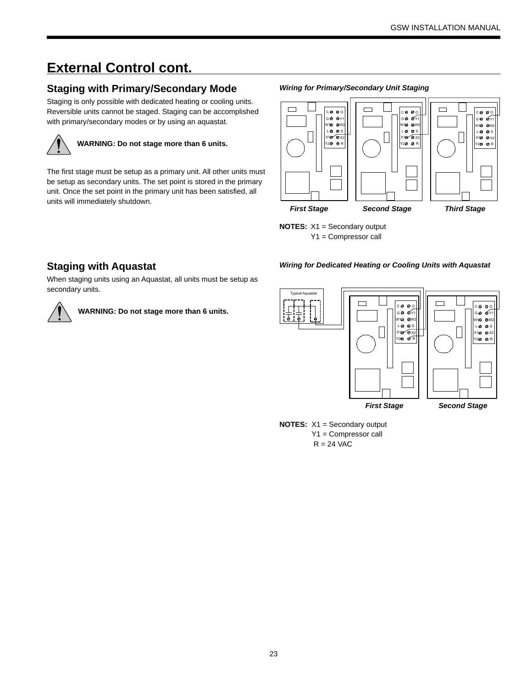# **External Control cont.**

### **Staging with Primary/Secondary Mode**

Staging is only possible with dedicated heating or cooling units. Reversible units cannot be staged. Staging can be accomplished with primary/secondary modes or by using an aquastat.



### **WARNING: Do not stage more than 6 units.**

The first stage must be setup as a primary unit. All other units must be setup as secondary units. The set point is stored in the primary unit. Once the set point in the primary unit has been satisfied, all units will immediately shutdown.

*Wiring for Primary/Secondary Unit Staging*



**NOTES:** X1 = Secondary output Y1 = Compressor call

#### *Wiring for Dedicated Heating or Cooling Units with Aquastat*

### **Staging with Aquastat**

When staging units using an Aquastat, all units must be setup as secondary units.





**NOTES:** X1 = Secondary output Y1 = Compressor call

 $R = 24$  VAC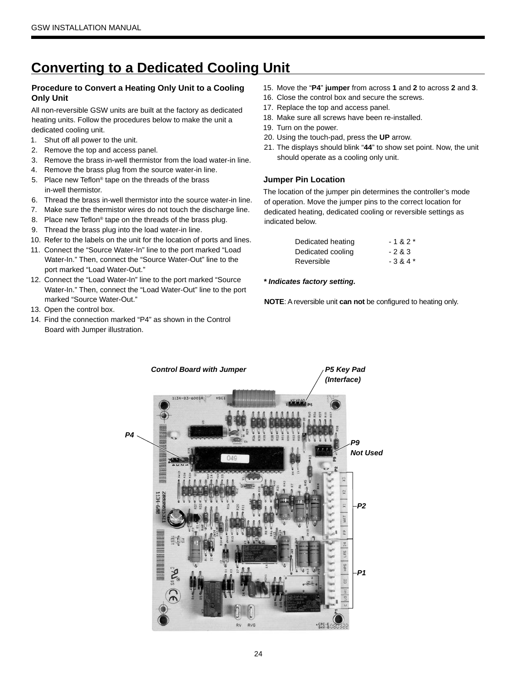# **Converting to a Dedicated Cooling Unit**

#### **Procedure to Convert a Heating Only Unit to a Cooling Only Unit**

All non-reversible GSW units are built at the factory as dedicated heating units. Follow the procedures below to make the unit a dedicated cooling unit.

- 1. Shut off all power to the unit.
- 2. Remove the top and access panel.
- 3. Remove the brass in-well thermistor from the load water-in line.
- 4. Remove the brass plug from the source water-in line.
- 5. Place new Teflon® tape on the threads of the brass in-well thermistor.
- 6. Thread the brass in-well thermistor into the source water-in line.
- 7. Make sure the thermistor wires do not touch the discharge line.
- 8. Place new Teflon<sup>®</sup> tape on the threads of the brass plug.
- 9. Thread the brass plug into the load water-in line.
- 10. Refer to the labels on the unit for the location of ports and lines.
- 11. Connect the "Source Water-In" line to the port marked "Load Water-In." Then, connect the "Source Water-Out" line to the port marked "Load Water-Out."
- 12. Connect the "Load Water-In" line to the port marked "Source Water-In." Then, connect the "Load Water-Out" line to the port marked "Source Water-Out."
- 13. Open the control box.
- 14. Find the connection marked "P4" as shown in the Control Board with Jumper illustration.
- 15. Move the "**P4**" **jumper** from across **1** and **2** to across **2** and **3**.
- 16. Close the control box and secure the screws.
- 17. Replace the top and access panel.
- 18. Make sure all screws have been re-installed.
- 19. Turn on the power.
- 20. Using the touch-pad, press the **UP** arrow.
- 21. The displays should blink "**44**" to show set point. Now, the unit should operate as a cooling only unit.

#### **Jumper Pin Location**

The location of the jumper pin determines the controller's mode of operation. Move the jumper pins to the correct location for dedicated heating, dedicated cooling or reversible settings as indicated below.

| Dedicated heating | $-182*$ |
|-------------------|---------|
| Dedicated cooling | $-283$  |
| Reversible        | $-384*$ |

#### *\* Indicates factory setting.*

**NOTE**: A reversible unit **can not** be configured to heating only.

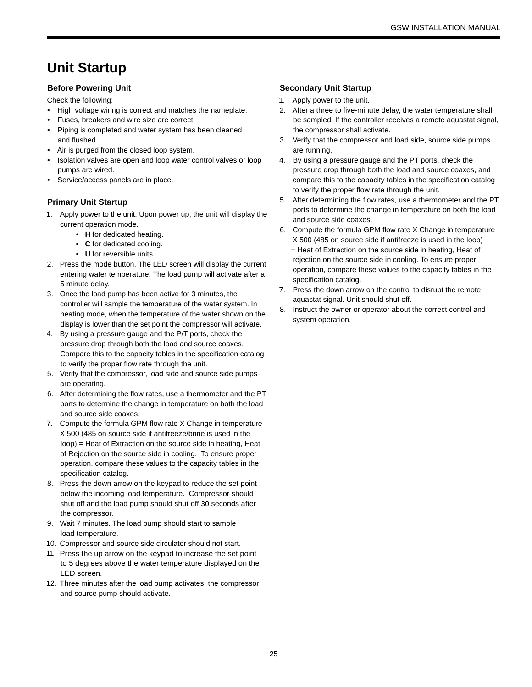# **Unit Startup**

#### **Before Powering Unit**

Check the following:

- High voltage wiring is correct and matches the nameplate.
- Fuses, breakers and wire size are correct.
- Piping is completed and water system has been cleaned and flushed.
- Air is purged from the closed loop system.
- Isolation valves are open and loop water control valves or loop pumps are wired.
- Service/access panels are in place.

#### **Primary Unit Startup**

- 1. Apply power to the unit. Upon power up, the unit will display the current operation mode.
	- **H** for dedicated heating.
	- **C** for dedicated cooling.
	- **U** for reversible units.
- 2. Press the mode button. The LED screen will display the current entering water temperature. The load pump will activate after a 5 minute delay.
- 3. Once the load pump has been active for 3 minutes, the controller will sample the temperature of the water system. In heating mode, when the temperature of the water shown on the display is lower than the set point the compressor will activate.
- 4. By using a pressure gauge and the P/T ports, check the pressure drop through both the load and source coaxes. Compare this to the capacity tables in the specification catalog to verify the proper flow rate through the unit.
- 5. Verify that the compressor, load side and source side pumps are operating.
- 6. After determining the flow rates, use a thermometer and the PT ports to determine the change in temperature on both the load and source side coaxes.
- 7. Compute the formula GPM flow rate X Change in temperature X 500 (485 on source side if antifreeze/brine is used in the loop) = Heat of Extraction on the source side in heating, Heat of Rejection on the source side in cooling. To ensure proper operation, compare these values to the capacity tables in the specification catalog.
- 8. Press the down arrow on the keypad to reduce the set point below the incoming load temperature. Compressor should shut off and the load pump should shut off 30 seconds after the compressor.
- 9. Wait 7 minutes. The load pump should start to sample load temperature.
- 10. Compressor and source side circulator should not start.
- 11. Press the up arrow on the keypad to increase the set point to 5 degrees above the water temperature displayed on the LED screen.
- 12. Three minutes after the load pump activates, the compressor and source pump should activate.

#### **Secondary Unit Startup**

- 1. Apply power to the unit.
- 2. After a three to five-minute delay, the water temperature shall be sampled. If the controller receives a remote aquastat signal, the compressor shall activate.
- 3. Verify that the compressor and load side, source side pumps are running.
- 4. By using a pressure gauge and the PT ports, check the pressure drop through both the load and source coaxes, and compare this to the capacity tables in the specification catalog to verify the proper flow rate through the unit.
- 5. After determining the flow rates, use a thermometer and the PT ports to determine the change in temperature on both the load and source side coaxes.
- 6. Compute the formula GPM flow rate X Change in temperature X 500 (485 on source side if antifreeze is used in the loop)
	- = Heat of Extraction on the source side in heating, Heat of rejection on the source side in cooling. To ensure proper operation, compare these values to the capacity tables in the specification catalog.
- 7. Press the down arrow on the control to disrupt the remote aquastat signal. Unit should shut off.
- 8. Instruct the owner or operator about the correct control and system operation.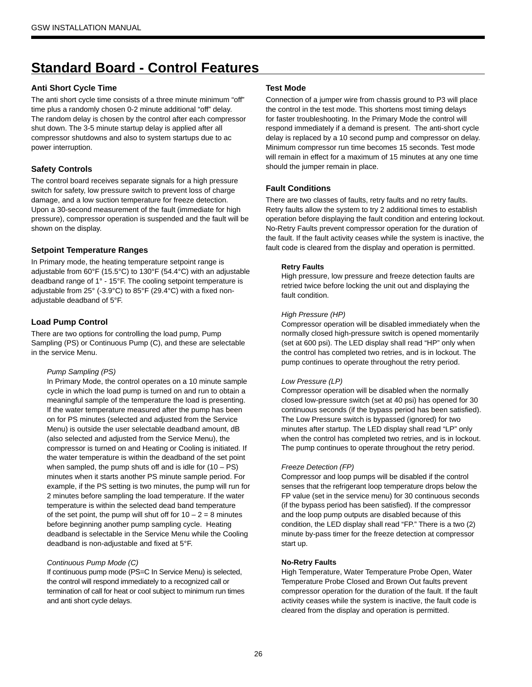# **Standard Board - Control Features**

#### **Anti Short Cycle Time**

The anti short cycle time consists of a three minute minimum "off" time plus a randomly chosen 0-2 minute additional "off" delay. The random delay is chosen by the control after each compressor shut down. The 3-5 minute startup delay is applied after all compressor shutdowns and also to system startups due to ac power interruption.

#### **Safety Controls**

The control board receives separate signals for a high pressure switch for safety, low pressure switch to prevent loss of charge damage, and a low suction temperature for freeze detection. Upon a 30-second measurement of the fault (immediate for high pressure), compressor operation is suspended and the fault will be shown on the display.

#### **Setpoint Temperature Ranges**

In Primary mode, the heating temperature setpoint range is adjustable from 60°F (15.5°C) to 130°F (54.4°C) with an adjustable deadband range of 1° - 15°F. The cooling setpoint temperature is adjustable from 25° (-3.9°C) to 85°F (29.4°C) with a fixed nonadjustable deadband of 5°F.

#### **Load Pump Control**

There are two options for controlling the load pump, Pump Sampling (PS) or Continuous Pump (C), and these are selectable in the service Menu.

#### *Pump Sampling (PS)*

In Primary Mode, the control operates on a 10 minute sample cycle in which the load pump is turned on and run to obtain a meaningful sample of the temperature the load is presenting. If the water temperature measured after the pump has been on for PS minutes (selected and adjusted from the Service Menu) is outside the user selectable deadband amount, dB (also selected and adjusted from the Service Menu), the compressor is turned on and Heating or Cooling is initiated. If the water temperature is within the deadband of the set point when sampled, the pump shuts off and is idle for  $(10 - PS)$ minutes when it starts another PS minute sample period. For example, if the PS setting is two minutes, the pump will run for 2 minutes before sampling the load temperature. If the water temperature is within the selected dead band temperature of the set point, the pump will shut off for  $10 - 2 = 8$  minutes before beginning another pump sampling cycle. Heating deadband is selectable in the Service Menu while the Cooling deadband is non-adjustable and fixed at 5°F.

#### *Continuous Pump Mode (C)*

If continuous pump mode (PS=C In Service Menu) is selected, the control will respond immediately to a recognized call or termination of call for heat or cool subject to minimum run times and anti short cycle delays.

#### **Test Mode**

Connection of a jumper wire from chassis ground to P3 will place the control in the test mode. This shortens most timing delays for faster troubleshooting. In the Primary Mode the control will respond immediately if a demand is present. The anti-short cycle delay is replaced by a 10 second pump and compressor on delay. Minimum compressor run time becomes 15 seconds. Test mode will remain in effect for a maximum of 15 minutes at any one time should the jumper remain in place.

#### **Fault Conditions**

There are two classes of faults, retry faults and no retry faults. Retry faults allow the system to try 2 additional times to establish operation before displaying the fault condition and entering lockout. No-Retry Faults prevent compressor operation for the duration of the fault. If the fault activity ceases while the system is inactive, the fault code is cleared from the display and operation is permitted.

#### **Retry Faults**

High pressure, low pressure and freeze detection faults are retried twice before locking the unit out and displaying the fault condition.

#### *High Pressure (HP)*

Compressor operation will be disabled immediately when the normally closed high-pressure switch is opened momentarily (set at 600 psi). The LED display shall read "HP" only when the control has completed two retries, and is in lockout. The pump continues to operate throughout the retry period.

#### *Low Pressure (LP)*

Compressor operation will be disabled when the normally closed low-pressure switch (set at 40 psi) has opened for 30 continuous seconds (if the bypass period has been satisfied). The Low Pressure switch is bypassed (ignored) for two minutes after startup. The LED display shall read "LP" only when the control has completed two retries, and is in lockout. The pump continues to operate throughout the retry period.

#### *Freeze Detection (FP)*

Compressor and loop pumps will be disabled if the control senses that the refrigerant loop temperature drops below the FP value (set in the service menu) for 30 continuous seconds (if the bypass period has been satisfied). If the compressor and the loop pump outputs are disabled because of this condition, the LED display shall read "FP." There is a two (2) minute by-pass timer for the freeze detection at compressor start up.

#### **No-Retry Faults**

High Temperature, Water Temperature Probe Open, Water Temperature Probe Closed and Brown Out faults prevent compressor operation for the duration of the fault. If the fault activity ceases while the system is inactive, the fault code is cleared from the display and operation is permitted.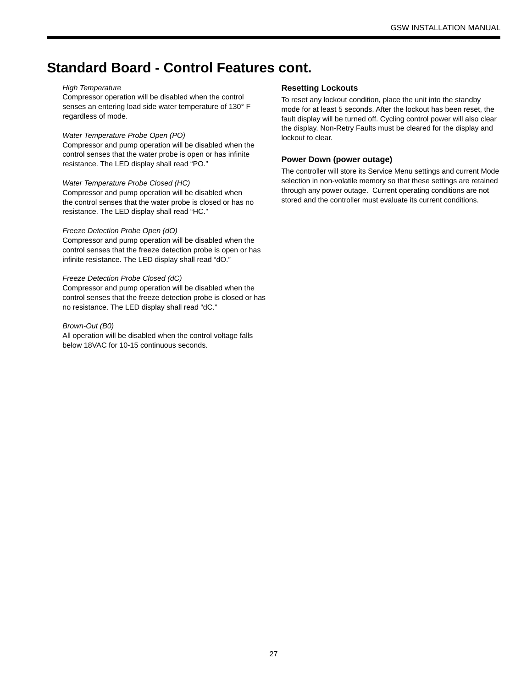### **Standard Board - Control Features cont.**

#### *High Temperature*

Compressor operation will be disabled when the control senses an entering load side water temperature of 130° F regardless of mode.

#### *Water Temperature Probe Open (PO)*

Compressor and pump operation will be disabled when the control senses that the water probe is open or has infinite resistance. The LED display shall read "PO."

#### *Water Temperature Probe Closed (HC)*

Compressor and pump operation will be disabled when the control senses that the water probe is closed or has no resistance. The LED display shall read "HC."

#### *Freeze Detection Probe Open (dO)*

Compressor and pump operation will be disabled when the control senses that the freeze detection probe is open or has infinite resistance. The LED display shall read "dO."

#### *Freeze Detection Probe Closed (dC)*

Compressor and pump operation will be disabled when the control senses that the freeze detection probe is closed or has no resistance. The LED display shall read "dC."

#### *Brown-Out (B0)*

All operation will be disabled when the control voltage falls below 18VAC for 10-15 continuous seconds.

#### **Resetting Lockouts**

To reset any lockout condition, place the unit into the standby mode for at least 5 seconds. After the lockout has been reset, the fault display will be turned off. Cycling control power will also clear the display. Non-Retry Faults must be cleared for the display and lockout to clear.

#### **Power Down (power outage)**

The controller will store its Service Menu settings and current Mode selection in non-volatile memory so that these settings are retained through any power outage. Current operating conditions are not stored and the controller must evaluate its current conditions.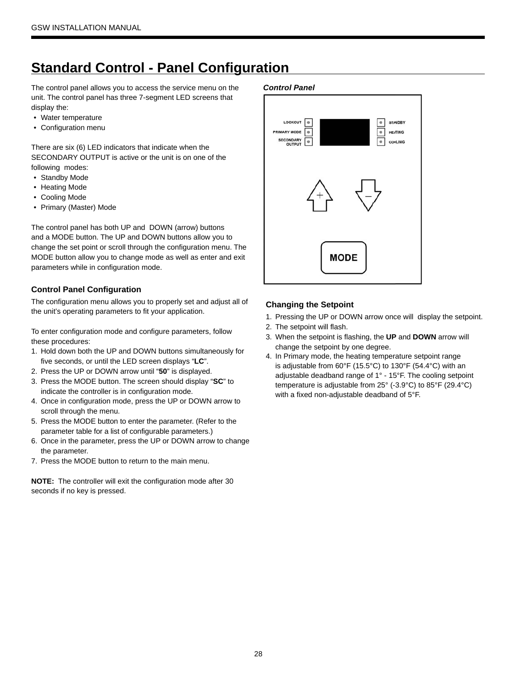# **Standard Control - Panel Configuration**

The control panel allows you to access the service menu on the unit. The control panel has three 7-segment LED screens that display the:

- Water temperature
- Configuration menu

There are six (6) LED indicators that indicate when the SECONDARY OUTPUT is active or the unit is on one of the following modes:

- Standby Mode
- Heating Mode
- Cooling Mode
- Primary (Master) Mode

The control panel has both UP and DOWN (arrow) buttons and a MODE button. The UP and DOWN buttons allow you to change the set point or scroll through the configuration menu. The MODE button allow you to change mode as well as enter and exit parameters while in configuration mode.

#### **Control Panel Configuration**

The configuration menu allows you to properly set and adjust all of the unit's operating parameters to fit your application.

To enter configuration mode and configure parameters, follow these procedures:

- 1. Hold down both the UP and DOWN buttons simultaneously for five seconds, or until the LED screen displays "**LC**".
- 2. Press the UP or DOWN arrow until "**50**" is displayed.
- 3. Press the MODE button. The screen should display "**SC**" to indicate the controller is in configuration mode.
- 4. Once in configuration mode, press the UP or DOWN arrow to scroll through the menu.
- 5. Press the MODE button to enter the parameter. (Refer to the parameter table for a list of configurable parameters.)
- 6. Once in the parameter, press the UP or DOWN arrow to change the parameter.
- 7. Press the MODE button to return to the main menu.

**NOTE:** The controller will exit the configuration mode after 30 seconds if no key is pressed.

#### *Control Panel*



#### **Changing the Setpoint**

- 1. Pressing the UP or DOWN arrow once will display the setpoint.
- 2. The setpoint will flash.
- 3. When the setpoint is flashing, the **UP** and **DOWN** arrow will change the setpoint by one degree.
- 4. In Primary mode, the heating temperature setpoint range is adjustable from 60°F (15.5°C) to 130°F (54.4°C) with an adjustable deadband range of 1° - 15°F. The cooling setpoint temperature is adjustable from 25° (-3.9°C) to 85°F (29.4°C) with a fixed non-adjustable deadband of 5°F.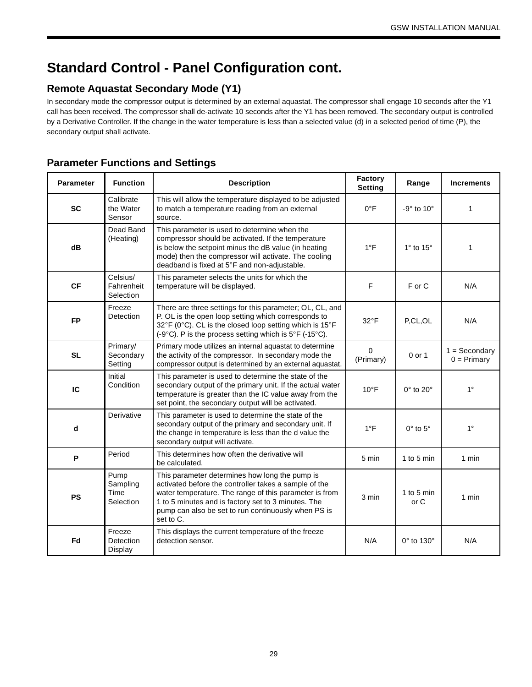# **Standard Control - Panel Configuration cont.**

### **Remote Aquastat Secondary Mode (Y1)**

In secondary mode the compressor output is determined by an external aquastat. The compressor shall engage 10 seconds after the Y1 call has been received. The compressor shall de-activate 10 seconds after the Y1 has been removed. The secondary output is controlled by a Derivative Controller. If the change in the water temperature is less than a selected value (d) in a selected period of time (P), the secondary output shall activate.

### **Parameter Functions and Settings**

| <b>Parameter</b> | <b>Function</b>                       | <b>Description</b>                                                                                                                                                                                                                                                                           | Factory<br><b>Setting</b> | Range                     | <b>Increments</b>                |
|------------------|---------------------------------------|----------------------------------------------------------------------------------------------------------------------------------------------------------------------------------------------------------------------------------------------------------------------------------------------|---------------------------|---------------------------|----------------------------------|
| <b>SC</b>        | Calibrate<br>the Water<br>Sensor      | This will allow the temperature displayed to be adjusted<br>to match a temperature reading from an external<br>source.                                                                                                                                                                       | $0^{\circ}F$              | $-9^\circ$ to 10 $^\circ$ | 1                                |
| dB               | Dead Band<br>(Heating)                | This parameter is used to determine when the<br>compressor should be activated. If the temperature<br>is below the setpoint minus the dB value (in heating<br>mode) then the compressor will activate. The cooling<br>deadband is fixed at 5°F and non-adjustable.                           | $1^{\circ}$ F             | $1^\circ$ to $15^\circ$   | $\mathbf{1}$                     |
| <b>CF</b>        | Celsius/<br>Fahrenheit<br>Selection   | This parameter selects the units for which the<br>temperature will be displayed.                                                                                                                                                                                                             | F                         | F or C                    | N/A                              |
| <b>FP</b>        | Freeze<br>Detection                   | There are three settings for this parameter; OL, CL, and<br>P. OL is the open loop setting which corresponds to<br>32°F (0°C). CL is the closed loop setting which is 15°F<br>(-9°C). P is the process setting which is 5°F (-15°C).                                                         | $32^{\circ}F$             | P,CL,OL                   | N/A                              |
| <b>SL</b>        | Primary/<br>Secondary<br>Setting      | Primary mode utilizes an internal aquastat to determine<br>the activity of the compressor. In secondary mode the<br>compressor output is determined by an external aquastat.                                                                                                                 | $\Omega$<br>(Primary)     | $0$ or $1$                | $1 =$ Secondary<br>$0 = Primary$ |
| IC               | Initial<br>Condition                  | This parameter is used to determine the state of the<br>secondary output of the primary unit. If the actual water<br>temperature is greater than the IC value away from the<br>set point, the secondary output will be activated.                                                            | $10^{\circ}$ F            | $0^\circ$ to $20^\circ$   | $1^{\circ}$                      |
| d                | Derivative                            | This parameter is used to determine the state of the<br>secondary output of the primary and secondary unit. If<br>the change in temperature is less than the d value the<br>secondary output will activate.                                                                                  | $1^{\circ}F$              | $0^\circ$ to $5^\circ$    | $1^{\circ}$                      |
| P                | Period                                | This determines how often the derivative will<br>be calculated.                                                                                                                                                                                                                              | 5 min                     | 1 to 5 min                | 1 min                            |
| <b>PS</b>        | Pump<br>Sampling<br>Time<br>Selection | This parameter determines how long the pump is<br>activated before the controller takes a sample of the<br>water temperature. The range of this parameter is from<br>1 to 5 minutes and is factory set to 3 minutes. The<br>pump can also be set to run continuously when PS is<br>set to C. | 3 min                     | 1 to 5 min<br>or C        | 1 min                            |
| Fd               | Freeze<br>Detection<br>Display        | This displays the current temperature of the freeze<br>detection sensor.                                                                                                                                                                                                                     | N/A                       | 0° to 130°                | N/A                              |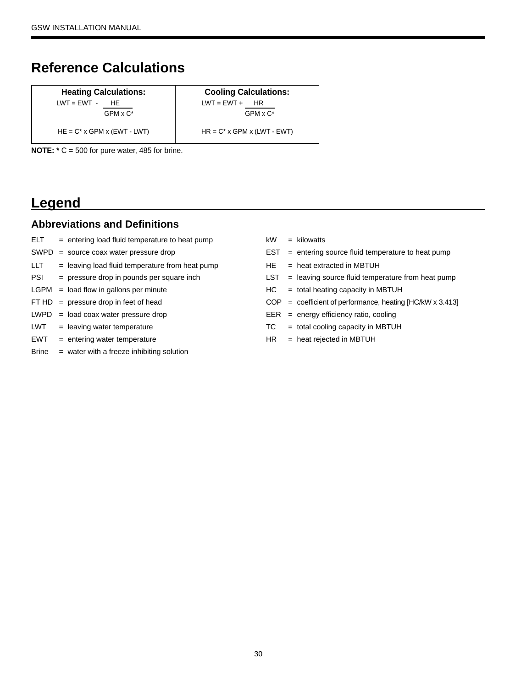# **Reference Calculations**

#### **Heating Calculations:**  $LWT = EWT - HE$

 $GPM \times C^*$ 

 $HE = C^* x GPM x (EWT - LWT)$   $HR = C^* x GPM x (LWT - EWT)$ 

**Cooling Calculations:**  $LWT = EWT + HR$ GPM x C\*

**NOTE: \*** C = 500 for pure water, 485 for brine.

### **Legend**

### **Abbreviations and Definitions**

- $ELT$  = entering load fluid temperature to heat pump  $kW$  = kilowatts
- 
- $LLT =$  leaving load fluid temperature from heat pump  $HE =$  heat extracted in MBTUH
- 
- 
- 
- $LWPD = load \ncoax water pressure \ drop$  EER = energy efficiency ratio, cooling
- 
- EWT = entering water temperature HR = heat rejected in MBTUH
- Brine = water with a freeze inhibiting solution
- 
- SWPD = source coax water pressure drop  $EST = entering source fluid temperature to heat pump$ 
	-
- PSI = pressure drop in pounds per square inch LST = leaving source fluid temperature from heat pump
- LGPM = load flow in gallons per minute Theorem HC = total heating capacity in MBTUH
- FT  $HD = pressure drop in feet of head$  COP = coefficient of performance, heating [HC/kW x 3.413]
	-
- LWT = leaving water temperature TC = total cooling capacity in MBTUH
	-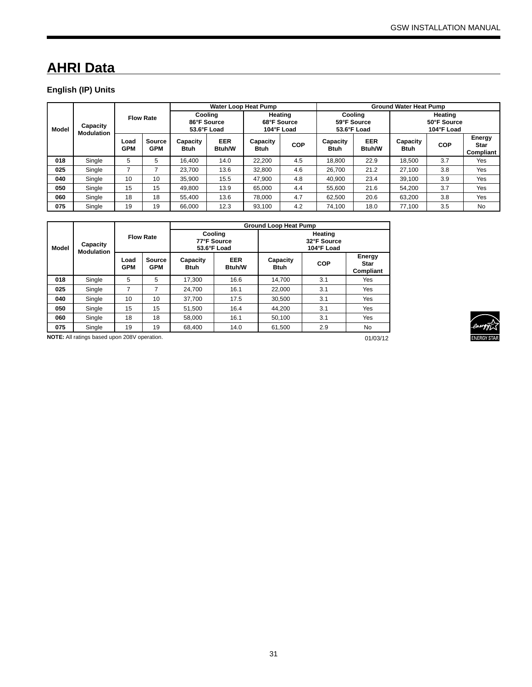# **AHRI Data**

### **English (IP) Units**

|              |                               |                    |                             | Water Loop Heat Pump |                             |                  | <b>Ground Water Heat Pump</b> |                         |                                                                               |                         |                                       |                                    |                                      |  |  |
|--------------|-------------------------------|--------------------|-----------------------------|----------------------|-----------------------------|------------------|-------------------------------|-------------------------|-------------------------------------------------------------------------------|-------------------------|---------------------------------------|------------------------------------|--------------------------------------|--|--|
| <b>Model</b> | Capacity<br><b>Modulation</b> |                    | <b>Flow Rate</b>            |                      |                             |                  |                               |                         | Heating<br>Coolina<br>86°F Source<br>68°F Source<br>53.6°F Load<br>104°F Load |                         | Coolina<br>59°F Source<br>53.6°F Load |                                    | Heating<br>50°F Source<br>104°F Load |  |  |
|              |                               | Load<br><b>GPM</b> | <b>Source</b><br><b>GPM</b> | Capacity<br>Btuh     | <b>EER</b><br><b>Btuh/W</b> | Capacity<br>Btuh | <b>COP</b>                    | Capacity<br><b>Btuh</b> | <b>EER</b><br><b>Btuh/W</b>                                                   | Capacity<br><b>Btuh</b> | <b>COP</b>                            | Energy<br><b>Star</b><br>Compliant |                                      |  |  |
| 018          | Single                        | 5                  | 5                           | 16.400               | 14.0                        | 22.200           | 4.5                           | 18.800                  | 22.9                                                                          | 18.500                  | 3.7                                   | Yes                                |                                      |  |  |
| 025          | Single                        | ⇁                  |                             | 23.700               | 13.6                        | 32.800           | 4.6                           | 26.700                  | 21.2                                                                          | 27.100                  | 3.8                                   | Yes                                |                                      |  |  |
| 040          | Single                        | 10                 | 10                          | 35.900               | 15.5                        | 47.900           | 4.8                           | 40.900                  | 23.4                                                                          | 39.100                  | 3.9                                   | Yes                                |                                      |  |  |
| 050          | Single                        | 15                 | 15                          | 49.800               | 13.9                        | 65.000           | 4.4                           | 55.600                  | 21.6                                                                          | 54.200                  | 3.7                                   | Yes                                |                                      |  |  |
| 060          | Single                        | 18                 | 18                          | 55.400               | 13.6                        | 78.000           | 4.7                           | 62.500                  | 20.6                                                                          | 63.200                  | 3.8                                   | Yes                                |                                      |  |  |
| 075          | Single                        | 19                 | 19                          | 66.000               | 12.3                        | 93.100           | 4.2                           | 74.100                  | 18.0                                                                          | 77.100                  | 3.5                                   | <b>No</b>                          |                                      |  |  |

|                                               |                  |                    |                                       |                         | <b>Ground Loop Heat Pump</b>         |                         |            |                                    |  |  |  |
|-----------------------------------------------|------------------|--------------------|---------------------------------------|-------------------------|--------------------------------------|-------------------------|------------|------------------------------------|--|--|--|
| Capacity<br><b>Model</b><br><b>Modulation</b> | <b>Flow Rate</b> |                    | Coolina<br>77°F Source<br>53.6°F Load |                         | Heating<br>32°F Source<br>104°F Load |                         |            |                                    |  |  |  |
|                                               |                  | Load<br><b>GPM</b> | Source<br><b>GPM</b>                  | Capacity<br><b>Btuh</b> | <b>EER</b><br><b>Btuh/W</b>          | Capacity<br><b>Btuh</b> | <b>COP</b> | Energy<br><b>Star</b><br>Compliant |  |  |  |
| 018                                           | Single           | 5                  | 5                                     | 17.300                  | 16.6                                 | 14.700                  | 3.1        | Yes                                |  |  |  |
| 025                                           | Single           | 7                  | 7                                     | 24.700                  | 16.1                                 | 22.000                  | 3.1        | Yes                                |  |  |  |
| 040                                           | Single           | 10                 | 10                                    | 37.700                  | 17.5                                 | 30.500                  | 3.1        | Yes                                |  |  |  |
| 050                                           | Single           | 15                 | 15                                    | 51.500                  | 16.4                                 | 44.200                  | 3.1        | Yes                                |  |  |  |
| 060                                           | Single           | 18                 | 18                                    | 58.000                  | 16.1                                 | 50.100                  | 3.1        | Yes                                |  |  |  |
| 075                                           | Single           | 19                 | 19                                    | 68,400                  | 14.0                                 | 61,500                  | 2.9        | No.                                |  |  |  |

**NOTE:** All ratings based upon 208V operation.

01/03/12

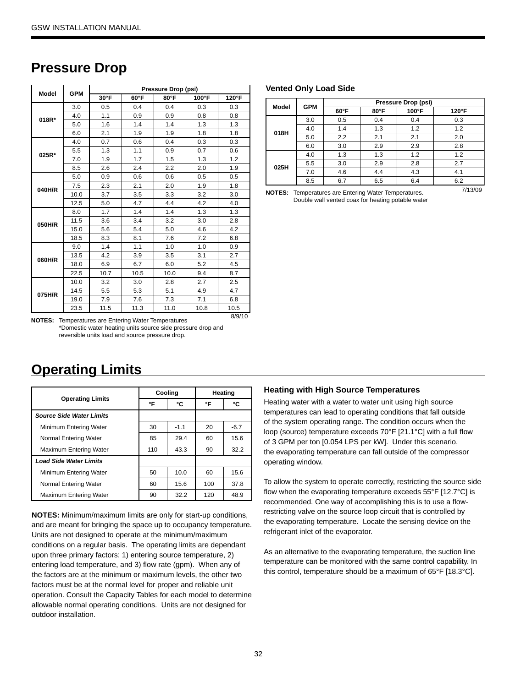### **Pressure Drop**

| <b>Model</b> | <b>GPM</b> |      |      | Pressure Drop (psi) |       |       |
|--------------|------------|------|------|---------------------|-------|-------|
|              |            | 30°F | 60°F | $80^{\circ}$ F      | 100°F | 120°F |
|              | 3.0        | 0.5  | 0.4  | 0.4                 | 0.3   | 0.3   |
| 018R*        | 4.0        | 1.1  | 0.9  | 0.9                 | 0.8   | 0.8   |
|              | 5.0        | 1.6  | 1.4  | 1.4                 | 1.3   | 1.3   |
|              | 6.0        | 2.1  | 1.9  | 1.9                 | 1.8   | 1.8   |
|              | 4.0        | 0.7  | 0.6  | 0.4                 | 0.3   | 0.3   |
| 025R*        | 5.5        | 1.3  | 1.1  | 0.9                 | 0.7   | 0.6   |
|              | 7.0        | 1.9  | 1.7  | 1.5                 | 1.3   | 1.2   |
|              | 8.5        | 2.6  | 2.4  | 2.2                 | 2.0   | 1.9   |
|              | 5.0        | 0.9  | 0.6  | 0.6                 | 0.5   | 0.5   |
| 040H/R       | 7.5        | 2.3  | 2.1  | 2.0                 | 1.9   | 1.8   |
|              | 10.0       | 3.7  | 3.5  | 3.3                 | 3.2   | 3.0   |
|              | 12.5       | 5.0  | 4.7  | 4.4                 | 4.2   | 4.0   |
|              | 8.0        | 1.7  | 1.4  | 1.4                 | 1.3   | 1.3   |
| 050H/R       | 11.5       | 3.6  | 3.4  | 3.2                 | 3.0   | 2.8   |
|              | 15.0       | 5.6  | 5.4  | 5.0                 | 4.6   | 4.2   |
|              | 18.5       | 8.3  | 8.1  | 7.6                 | 7.2   | 6.8   |
|              | 9.0        | 1.4  | 1.1  | 1.0                 | 1.0   | 0.9   |
| 060H/R       | 13.5       | 4.2  | 3.9  | 3.5                 | 3.1   | 2.7   |
|              | 18.0       | 6.9  | 6.7  | 6.0                 | 5.2   | 4.5   |
|              | 22.5       | 10.7 | 10.5 | 10.0                | 9.4   | 8.7   |
|              | 10.0       | 3.2  | 3.0  | 2.8                 | 2.7   | 2.5   |
| 075H/R       | 14.5       | 5.5  | 5.3  | 5.1                 | 4.9   | 4.7   |
|              | 19.0       | 7.9  | 7.6  | 7.3                 | 7.1   | 6.8   |
|              | 23.5       | 11.5 | 11.3 | 11.0                | 10.8  | 10.5  |

#### **Vented Only Load Side**

| Model | <b>GPM</b> | Pressure Drop (psi) |      |       |       |  |  |  |
|-------|------------|---------------------|------|-------|-------|--|--|--|
|       |            | $60^{\circ}$ F      | 80°F | 100°F | 120°F |  |  |  |
|       | 3.0        | 0.5                 | 0.4  | 0.4   | 0.3   |  |  |  |
| 018H  | 4.0        | 1.4                 | 1.3  | 1.2   | 1.2   |  |  |  |
|       | 5.0        | 2.2                 | 2.1  | 2.1   | 2.0   |  |  |  |
|       | 6.0        | 3.0                 | 2.9  | 2.9   | 2.8   |  |  |  |
|       | 4.0        | 1.3                 | 1.3  | 1.2   | 1.2   |  |  |  |
| 025H  | 5.5        | 3.0                 | 2.9  | 2.8   | 2.7   |  |  |  |
|       | 7.0        | 4.6                 | 4.4  | 4.3   | 4.1   |  |  |  |
|       | 8.5        | 6.7                 | 6.5  | 6.4   | 6.2   |  |  |  |

7/13/09 **NOTES:** Temperatures are Entering Water Temperatures. Double wall vented coax for heating potable water

8/9/10 **NOTES:** Temperatures are Entering Water Temperatures \*Domestic water heating units source side pressure drop and reversible units load and source pressure drop.

**Operating Limits**

|                                 | Cooling |        | Heating |        |  |
|---------------------------------|---------|--------|---------|--------|--|
| <b>Operating Limits</b>         | °F      | ۰c     | °F      | ۰c     |  |
| <b>Source Side Water Limits</b> |         |        |         |        |  |
| Minimum Entering Water          | 30      | $-1.1$ | 20      | $-6.7$ |  |
| Normal Entering Water           | 85      | 29.4   | 60      | 15.6   |  |
| Maximum Entering Water          | 110     | 43.3   | 90      | 32.2   |  |
| <b>Load Side Water Limits</b>   |         |        |         |        |  |
| Minimum Entering Water          | 50      | 10.0   | 60      | 15.6   |  |
| Normal Entering Water           | 60      | 15.6   | 100     | 37.8   |  |
| Maximum Entering Water          | 90      | 32.2   | 120     | 48.9   |  |

**NOTES:** Minimum/maximum limits are only for start-up conditions, and are meant for bringing the space up to occupancy temperature. Units are not designed to operate at the minimum/maximum conditions on a regular basis. The operating limits are dependant upon three primary factors: 1) entering source temperature, 2) entering load temperature, and 3) flow rate (gpm). When any of the factors are at the minimum or maximum levels, the other two factors must be at the normal level for proper and reliable unit operation. Consult the Capacity Tables for each model to determine allowable normal operating conditions. Units are not designed for outdoor installation.

### **Heating with High Source Temperatures**

Heating water with a water to water unit using high source temperatures can lead to operating conditions that fall outside of the system operating range. The condition occurs when the loop (source) temperature exceeds 70°F [21.1°C] with a full flow of 3 GPM per ton [0.054 LPS per kW]. Under this scenario, the evaporating temperature can fall outside of the compressor operating window.

To allow the system to operate correctly, restricting the source side flow when the evaporating temperature exceeds 55°F [12.7°C] is recommended. One way of accomplishing this is to use a flowrestricting valve on the source loop circuit that is controlled by the evaporating temperature. Locate the sensing device on the refrigerant inlet of the evaporator.

As an alternative to the evaporating temperature, the suction line temperature can be monitored with the same control capability. In this control, temperature should be a maximum of 65°F [18.3°C].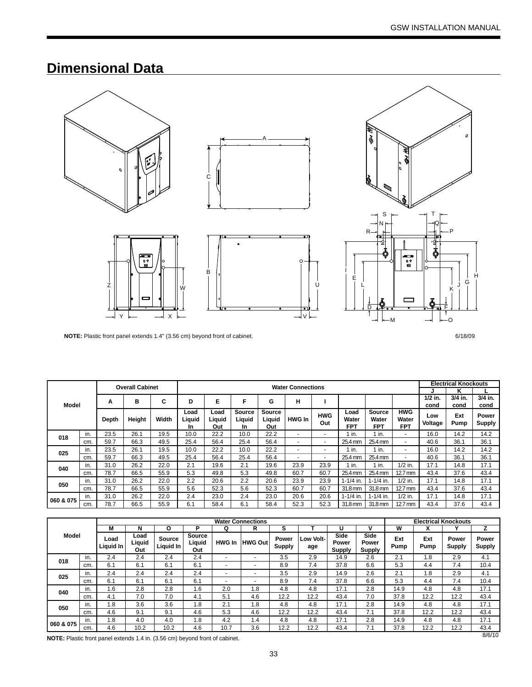# **Dimensional Data**



**NOTE:** Plastic front panel extends 1.4" (3.56 cm) beyond front of cabinet. 6/18/09

|           |                                      |       | <b>Overall Cabinet</b> |       |                             |                       |                                |                                | <b>Water Connections</b> |                          |                             |                               |                                   | <b>Electrical Knockouts</b> |             |                        |
|-----------|--------------------------------------|-------|------------------------|-------|-----------------------------|-----------------------|--------------------------------|--------------------------------|--------------------------|--------------------------|-----------------------------|-------------------------------|-----------------------------------|-----------------------------|-------------|------------------------|
|           |                                      |       |                        |       |                             |                       |                                |                                |                          |                          |                             |                               |                                   |                             | κ           |                        |
| Model     | F<br>Е<br>н<br>C<br>D<br>в<br>G<br>А |       |                        |       | $1/2$ in.<br>cond           | 3/4 in.<br>cond       | $3/4$ in.<br>cond              |                                |                          |                          |                             |                               |                                   |                             |             |                        |
|           |                                      | Depth | Height                 | Width | Load<br>Liquid<br><b>In</b> | Load<br>Liquid<br>Out | <b>Source</b><br>Liquid<br>In. | <b>Source</b><br>Liguid<br>Out | <b>HWG In</b>            | <b>HWG</b><br>Out        | Load<br>Water<br><b>FPT</b> | Source<br>Water<br><b>FPT</b> | <b>HWG</b><br>Water<br><b>FPT</b> | Low<br>Voltage              | Ext<br>Pump | Power<br><b>Supply</b> |
| 018       | in.                                  | 23.5  | 26.1                   | 19.5  | 10.0                        | 22.2                  | 10.0                           | 22.2                           | -                        | $\overline{\phantom{0}}$ | in.                         | 1 in.                         | $\overline{a}$                    | 16.0                        | 14.2        | 14.2                   |
|           | cm.                                  | 59.7  | 66.3                   | 49.5  | 25.4                        | 56.4                  | 25.4                           | 56.4                           | ۰                        | ٠                        | 25.4 mm                     | 25.4 mm                       | $\overline{\phantom{a}}$          | 40.6                        | 36.1        | 36.1                   |
|           | in.                                  | 23.5  | 26.1                   | 19.5  | 10.0                        | 22.2                  | 10.0                           | 22.2                           | -                        | $\overline{\phantom{0}}$ | in.                         | 1 in.                         | $\overline{\phantom{0}}$          | 16.0                        | 14.2        | 14.2                   |
| 025       | cm.                                  | 59.7  | 66.3                   | 49.5  | 25.4                        | 56.4                  | 25.4                           | 56.4                           | -                        | $\sim$                   | 25.4 mm                     | 25.4 mm                       | $\overline{\phantom{a}}$          | 40.6                        | 36.1        | 36.1                   |
|           | in.                                  | 31.0  | 26.2                   | 22.0  | 2.1                         | 19.6                  | 2.1                            | 19.6                           | 23.9                     | 23.9                     | 1 in.                       | 1 in.                         | $1/2$ in.                         | 17.1                        | 14.8        | 17.1                   |
| 040       | cm.                                  | 78.7  | 66.5                   | 55.9  | 5.3                         | 49.8                  | 5.3                            | 49.8                           | 60.7                     | 60.7                     | 25.4 mm                     | 25.4 mm                       | $12.7 \text{ mm}$                 | 43.4                        | 37.6        | 43.4                   |
|           | in.                                  | 31.0  | 26.2                   | 22.0  | 2.2                         | 20.6                  | 2.2                            | 20.6                           | 23.9                     | 23.9                     | $1 - 1/4$ in.               | $1 - 1/4$ in.                 | $1/2$ in.                         | 17.1                        | 14.8        | 17.1                   |
| 050       | cm.                                  | 78.7  | 66.5                   | 55.9  | 5.6                         | 52.3                  | 5.6                            | 52.3                           | 60.7                     | 60.7                     | 31.8 mm                     | 31.8 mm                       | $12.7 \text{ mm}$                 | 43.4                        | 37.6        | 43.4                   |
|           | in.                                  | 31.0  | 26.2                   | 22.0  | 2.4                         | 23.0                  | 2.4                            | 23.0                           | 20.6                     | 20.6                     | $1 - 1/4$ in.               | $1 - 1/4$ in.                 | $1/2$ in.                         | 17.1                        | 14.8        | 17.1                   |
| 060 & 075 | cm.                                  | 78.7  | 66.5                   | 55.9  | 6.1                         | 58.4                  | 6.1                            | 58.4                           | 52.3                     | 52.3                     | $31.8 \text{ mm}$           | 31.8 mm                       | $12.7 \text{ mm}$                 | 43.4                        | 37.6        | 43.4                   |

|                                                                              |     |                   |                       |                            |                                |               | <b>Water Connections</b> |                 |                  |                                |                                | <b>Electrical Knockouts</b> |             |                        |                        |
|------------------------------------------------------------------------------|-----|-------------------|-----------------------|----------------------------|--------------------------------|---------------|--------------------------|-----------------|------------------|--------------------------------|--------------------------------|-----------------------------|-------------|------------------------|------------------------|
|                                                                              |     | м                 | N                     | O                          | D                              | Q             | R                        | s               |                  |                                |                                | W                           |             |                        |                        |
| Model                                                                        |     | Load<br>Liquid In | Load<br>Liquid<br>Out | <b>Source</b><br>Liquid In | <b>Source</b><br>Liquid<br>Out | <b>HWG In</b> | <b>HWG Out</b>           | Power<br>Supply | Low Volt-<br>age | Side<br>Power<br><b>Supply</b> | Side<br>Power<br><b>Supply</b> | Ext<br>Pump                 | Ext<br>Pump | Power<br><b>Supply</b> | Power<br><b>Supply</b> |
| 018                                                                          | in. | 2.4               | 2.4                   | 2.4                        | 2.4                            |               | ۰                        | 3.5             | 2.9              | 14.9                           | 2.6                            | 2.1                         | 8.1         | 2.9                    | 4.1                    |
|                                                                              | cm. | 6.1               | 6.1                   | 6.1                        | 6.1                            |               | ۰                        | 8.9             | 7.4              | 37.8                           | 6.6                            | 5.3                         | 4.4         | 7.4                    | 10.4                   |
| 025                                                                          | in. | 2.4               | 2.4                   | 2.4                        | 2.4                            |               | $\overline{\phantom{a}}$ | 3.5             | 2.9              | 14.9                           | 2.6                            | 2.1                         | 8.1         | 2.9                    | 4.1                    |
|                                                                              | cm. | 6.1               | 6.1                   | 6.1                        | 6.1                            |               | ۰                        | 8.9             | 7.4              | 37.8                           | 6.6                            | 5.3                         | 4.4         | 7.4                    | 10.4                   |
| 040                                                                          | in. | 1.6               | 2.8                   | 2.8                        | 1.6                            | 2.0           | 1.8                      | 4.8             | 4.8              | 17.1                           | 2.8                            | 14.9                        | 4.8         | 4.8                    | 17.1                   |
|                                                                              | cm. | 4.1               | 7.0                   | 7.0                        | 4.1                            | 5.1           | 4.6                      | 12.2            | 12.2             | 43.4                           | 7.0                            | 37.8                        | 12.2        | 12.2                   | 43.4                   |
| 050                                                                          | in. | 1.8               | 3.6                   | 3.6                        | 1.8                            | 2.1           | 1.8                      | 4.8             | 4.8              | 17.1                           | 2.8                            | 14.9                        | 4.8         | 4.8                    | 17.1                   |
|                                                                              | cm. | 4.6               | 9.1                   | 9.1                        | 4.6                            | 5.3           | 4.6                      | 12.2            | 12.2             | 43.4                           | 7.1                            | 37.8                        | 12.2        | 12.2                   | 43.4                   |
| 060 & 075                                                                    | in. | 1.8               | 4.0                   | 4.0                        | 1.8                            | 4.2           | 1.4                      | 4.8             | 4.8              | 17.1                           | 2.8                            | 14.9                        | 4.8         | 4.8                    | 17.1                   |
|                                                                              | cm. | 4.6               | 10.2                  | 10.2                       | 4.6                            | 10.7          | 3.6                      | 12.2            | 12.2             | 43.4                           | 7.1                            | 37.8                        | 12.2        | 12.2                   | 43.4                   |
| NOTE: Plastic front panel extends 1.4 in. (3.56 cm) beyond front of cabinet. |     |                   |                       |                            |                                |               |                          |                 |                  |                                |                                |                             |             |                        | 8/6/10                 |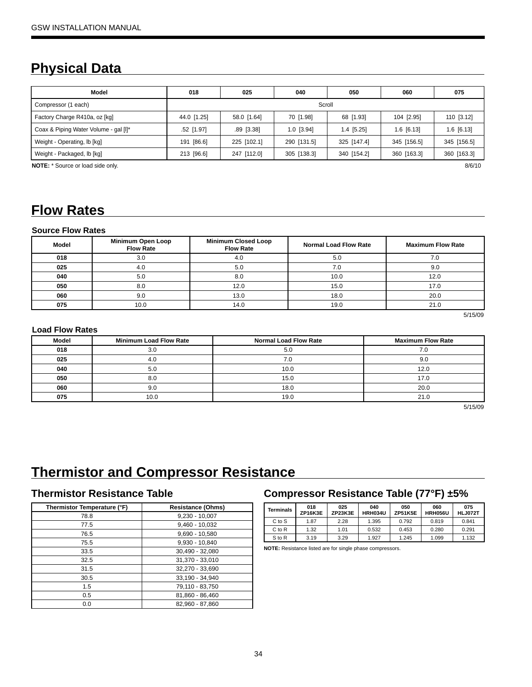# **Physical Data**

| Model                                 | 018         | 025          | 040          | 050          | 060          | 075          |  |  |
|---------------------------------------|-------------|--------------|--------------|--------------|--------------|--------------|--|--|
| Compressor (1 each)                   |             | Scroll       |              |              |              |              |  |  |
| Factory Charge R410a, oz [kg]         | 44.0 [1.25] | 58.0 [1.64]  | 70 [1.98]    | 68 [1.93]    | 104 [2.95]   | 110 [3.12]   |  |  |
| Coax & Piping Water Volume - gal [I]* | .52 [1.97]  | $.89$ [3.38] | $1.0$ [3.94] | $1.4$ [5.25] | $1.6$ [6.13] | $1.6$ [6.13] |  |  |
| Weight - Operating, lb [kg]           | 191 [86.6]  | 225 [102.1]  | 290 [131.5]  | 325 [147.4]  | 345 [156.5]  | 345 [156.5]  |  |  |
| Weight - Packaged, lb [kg]            | 213 [96.6]  | 247 [112.0]  | 305 [138.3]  | 340 [154.2]  | 360 [163.3]  | 360 [163.3]  |  |  |

**NOTE:**  $*$  Source or load side only. 8/6/10

# **Flow Rates**

#### **Source Flow Rates**

| Model | Minimum Open Loop<br><b>Flow Rate</b> | <b>Minimum Closed Loop</b><br><b>Flow Rate</b> | <b>Normal Load Flow Rate</b> | <b>Maximum Flow Rate</b> |  |
|-------|---------------------------------------|------------------------------------------------|------------------------------|--------------------------|--|
| 018   | 3.0<br>4.0                            |                                                | 5.C                          | 7.0                      |  |
| 025   | 4.0                                   | 5.0                                            | 7.0                          | 9.0                      |  |
| 040   | 5.0                                   | 8.0                                            | 10.0                         | 12.0                     |  |
| 050   | 8.0                                   | 12.0                                           | 15.0                         | 17.0                     |  |
| 060   | 9.0                                   | 13.0                                           | 18.0                         | 20.0                     |  |
| 075   | 10.0                                  | 14.0                                           | 19.0                         | 21.0                     |  |

5/15/09

#### **Load Flow Rates**

| <b>Model</b> | <b>Minimum Load Flow Rate</b> | <b>Normal Load Flow Rate</b> | <b>Maximum Flow Rate</b> |
|--------------|-------------------------------|------------------------------|--------------------------|
| 018          | 3.0                           | 5.0                          |                          |
| 025          | 4.0                           | 7.0                          | 9.0                      |
| 040          | 5.0                           | 10.0                         | 12.0                     |
| 050          | 8.0                           | 15.0                         | 17.0                     |
| 060          | 9.0                           | 18.0                         | 20.0                     |
| 075          | 10.0                          | 19.0                         | 21.0                     |

5/15/09

### **Thermistor and Compressor Resistance**

### **Thermistor Resistance Table**

| Thermistor Temperature (°F) | <b>Resistance (Ohms)</b> |
|-----------------------------|--------------------------|
| 78.8                        | $9,230 - 10,007$         |
| 77.5                        | $9.460 - 10.032$         |
| 76.5                        | $9,690 - 10,580$         |
| 75.5                        | 9.930 - 10.840           |
| 33.5                        | 30.490 - 32.080          |
| 32.5                        | 31.370 - 33.010          |
| 31.5                        | 32,270 - 33,690          |
| 30.5                        | 33,190 - 34,940          |
| 1.5                         | 79,110 - 83,750          |
| 0.5                         | 81,860 - 86,460          |
| 0.0                         | 82.960 - 87.860          |

### **Compressor Resistance Table (77°F) ±5%**

| Terminals | 018<br>ZP16K3E | 025<br>ZP23K3E | 040<br><b>HRH034U</b> | 050<br><b>ZP51K5E</b> | 060<br><b>HRH056U</b> | 075<br><b>HLJ072T</b> |
|-----------|----------------|----------------|-----------------------|-----------------------|-----------------------|-----------------------|
| C to S    | 1.87           | 2.28           | 1.395                 | 0.792                 | 0.819                 | 0.841                 |
| C to R    | 1.32           | 1.01           | 0.532                 | 0.453                 | 0.280                 | 0.291                 |
| S to R    | 3.19           | 3.29           | 1.927                 | 1.245                 | 1.099                 | 1.132                 |

**NOTE:** Resistance listed are for single phase compressors.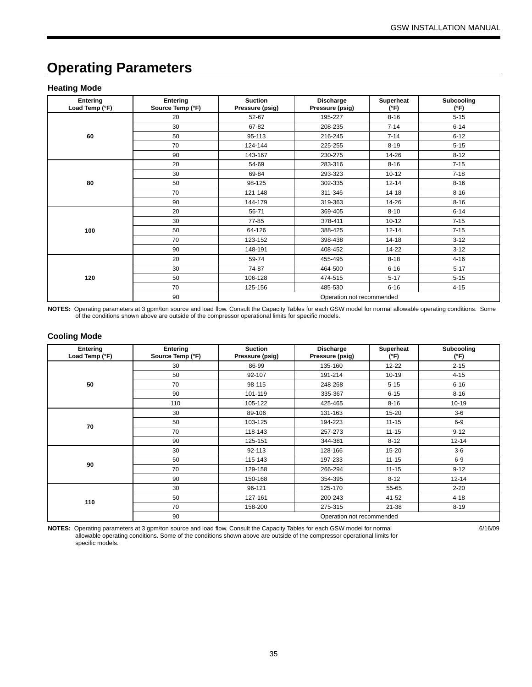# **Operating Parameters**

#### **Heating Mode**

| Entering<br>Load Temp (°F) | Entering<br>Source Temp (°F) | <b>Suction</b><br>Pressure (psig) | Discharge<br>Pressure (psig) | Superheat<br>(°F) | Subcooling<br>(°F) |
|----------------------------|------------------------------|-----------------------------------|------------------------------|-------------------|--------------------|
|                            | 20                           | 52-67                             | 195-227                      | $8 - 16$          | $5 - 15$           |
|                            | 30                           | 67-82                             | 208-235                      | $7 - 14$          | $6 - 14$           |
| 60                         | 50                           | 95-113                            | 216-245                      | $7 - 14$          | $6 - 12$           |
|                            | 70                           | 124-144                           | 225-255                      | $8 - 19$          | $5 - 15$           |
|                            | 90                           | 143-167                           | 230-275                      | 14-26             | $8 - 12$           |
|                            | 20                           | 54-69                             | 283-316                      | $8 - 16$          | $7 - 15$           |
| 80                         | 30                           | 69-84                             | 293-323                      | $10 - 12$         | $7 - 18$           |
|                            | 50                           | 98-125                            | 302-335                      | $12 - 14$         | $8 - 16$           |
|                            | 70                           | 121-148                           | 311-346                      | $14 - 18$         | $8 - 16$           |
|                            | 90                           | 144-179                           | 319-363                      | 14-26             | $8 - 16$           |
|                            | 20                           | 56-71                             | 369-405                      | $8 - 10$          | $6 - 14$           |
|                            | 30                           | 77-85                             | 378-411                      | $10 - 12$         | $7 - 15$           |
| 100                        | 50                           | 64-126                            | 388-425                      | $12 - 14$         | $7 - 15$           |
|                            | 70                           | 123-152                           | 398-438                      | $14 - 18$         | $3 - 12$           |
|                            | 90                           | 148-191                           | 408-452                      | 14-22             | $3 - 12$           |
|                            | 20                           | 59-74                             | 455-495                      | $8 - 18$          | $4 - 16$           |
|                            | 30                           | 74-87                             | 464-500                      | $6 - 16$          | $5 - 17$           |
| 120                        | 50                           | 106-128                           | 474-515                      | $5 - 17$          | $5 - 15$           |
|                            | 70                           | 125-156                           | 485-530                      | $6 - 16$          | $4 - 15$           |
|                            | 90                           |                                   | Operation not recommended    |                   |                    |

**NOTES:** Operating parameters at 3 gpm/ton source and load flow. Consult the Capacity Tables for each GSW model for normal allowable operating conditions. Some of the conditions shown above are outside of the compressor operational limits for specific models.

#### **Cooling Mode**

| Entering<br>Load Temp (°F) | Entering<br>Source Temp (°F) | <b>Suction</b><br>Pressure (psig) | Discharge<br>Pressure (psig) | Superheat<br>(°F) | Subcooling<br>(°F) |
|----------------------------|------------------------------|-----------------------------------|------------------------------|-------------------|--------------------|
|                            | 30                           | 86-99                             | 135-160                      | $12 - 22$         | $2 - 15$           |
|                            | 50                           | 92-107                            | 191-214                      | $10 - 19$         | $4 - 15$           |
| 50                         | 70                           | 98-115                            | 248-268                      | $5 - 15$          | $6 - 16$           |
|                            | 90                           | 101-119                           | 335-367                      | $6 - 15$          | $8 - 16$           |
|                            | 110                          | 105-122                           | 425-465                      | $8 - 16$          | $10 - 19$          |
| 70                         | 30                           | 89-106                            | 131-163                      | 15-20             | $3-6$              |
|                            | 50                           | 103-125                           | 194-223                      | $11 - 15$         | $6-9$              |
|                            | 70                           | 118-143                           | 257-273                      | $11 - 15$         | $9 - 12$           |
|                            | 90                           | 125-151                           | 344-381                      | $8 - 12$          | $12 - 14$          |
|                            | 30                           | 92-113                            | 128-166                      | 15-20             | $3-6$              |
| 90                         | 50                           | 115-143                           | 197-233                      | $11 - 15$         | $6 - 9$            |
|                            | 70                           | 129-158                           | 266-294                      | $11 - 15$         | $9 - 12$           |
|                            | 90                           | 150-168                           | 354-395                      | $8 - 12$          | $12 - 14$          |
|                            | 30                           | 96-121                            | 125-170                      | 55-65             | $2 - 20$           |
|                            | 50                           | 127-161                           | 200-243                      | 41-52             | $4 - 18$           |
| 110                        | 70                           | 158-200                           | 275-315                      | $21 - 38$         | $8 - 19$           |
|                            | 90                           |                                   | Operation not recommended    |                   |                    |

**NOTES:** Operating parameters at 3 gpm/ton source and load flow. Consult the Capacity Tables for each GSW model for normal allowable operating conditions. Some of the conditions shown above are outside of the compressor operational limits for specific models.

6/16/09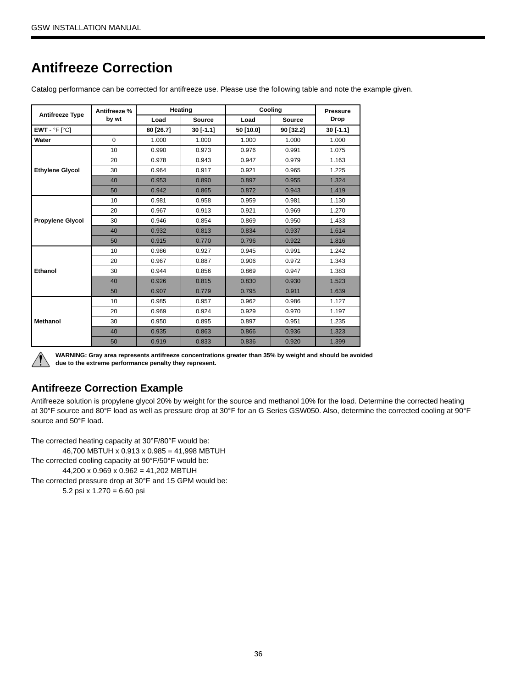# **Antifreeze Correction**

| Catalog performance can be corrected for antifreeze use. Please use the following table and note the example given. |  |  |  |
|---------------------------------------------------------------------------------------------------------------------|--|--|--|
|                                                                                                                     |  |  |  |
|                                                                                                                     |  |  |  |
|                                                                                                                     |  |  |  |

|                         | Antifreeze % |           | Heating   |           | Cooling   | <b>Pressure</b> |
|-------------------------|--------------|-----------|-----------|-----------|-----------|-----------------|
| <b>Antifreeze Type</b>  | by wt        | Load      | Source    | Load      | Source    | <b>Drop</b>     |
| $EWT - P F$ [ $C$ ]     |              | 80 [26.7] | 30 [-1.1] | 50 [10.0] | 90 [32.2] | 30 [-1.1]       |
| Water                   | $\Omega$     | 1.000     | 1.000     | 1.000     | 1.000     | 1.000           |
|                         | 10           | 0.990     | 0.973     | 0.976     | 0.991     | 1.075           |
| <b>Ethylene Glycol</b>  | 20           | 0.978     | 0.943     | 0.947     | 0.979     | 1.163           |
|                         | 30           | 0.964     | 0.917     | 0.921     | 0.965     | 1.225           |
|                         | 40           | 0.953     | 0.890     | 0.897     | 0.955     | 1.324           |
|                         | 50           | 0.942     | 0.865     | 0.872     | 0.943     | 1.419           |
|                         | 10           | 0.981     | 0.958     | 0.959     | 0.981     | 1.130           |
|                         | 20           | 0.967     | 0.913     | 0.921     | 0.969     | 1.270           |
| <b>Propylene Glycol</b> | 30           | 0.946     | 0.854     | 0.869     | 0.950     | 1.433           |
|                         | 40           | 0.932     | 0.813     | 0.834     | 0.937     | 1.614           |
|                         | 50           | 0.915     | 0.770     | 0.796     | 0.922     | 1.816           |
|                         | 10           | 0.986     | 0.927     | 0.945     | 0.991     | 1.242           |
|                         | 20           | 0.967     | 0.887     | 0.906     | 0.972     | 1.343           |
| Ethanol                 | 30           | 0.944     | 0.856     | 0.869     | 0.947     | 1.383           |
|                         | 40           | 0.926     | 0.815     | 0.830     | 0.930     | 1.523           |
|                         | 50           | 0.907     | 0.779     | 0.795     | 0.911     | 1.639           |
|                         | 10           | 0.985     | 0.957     | 0.962     | 0.986     | 1.127           |
|                         | 20           | 0.969     | 0.924     | 0.929     | 0.970     | 1.197           |
| <b>Methanol</b>         | 30           | 0.950     | 0.895     | 0.897     | 0.951     | 1.235           |
|                         | 40           | 0.935     | 0.863     | 0.866     | 0.936     | 1.323           |
|                         | 50           | 0.919     | 0.833     | 0.836     | 0.920     | 1.399           |



**WARNING: Gray area represents antifreeze concentrations greater than 35% by weight and should be avoided due to the extreme performance penalty they represent.**

### **Antifreeze Correction Example**

Antifreeze solution is propylene glycol 20% by weight for the source and methanol 10% for the load. Determine the corrected heating at 30°F source and 80°F load as well as pressure drop at 30°F for an G Series GSW050. Also, determine the corrected cooling at 90°F source and 50°F load.

The corrected heating capacity at 30°F/80°F would be: 46,700 MBTUH x 0.913 x 0.985 = 41,998 MBTUH The corrected cooling capacity at 90°F/50°F would be:

44,200 x 0.969 x 0.962 = 41,202 MBTUH

The corrected pressure drop at 30°F and 15 GPM would be:

5.2 psi x 1.270 = 6.60 psi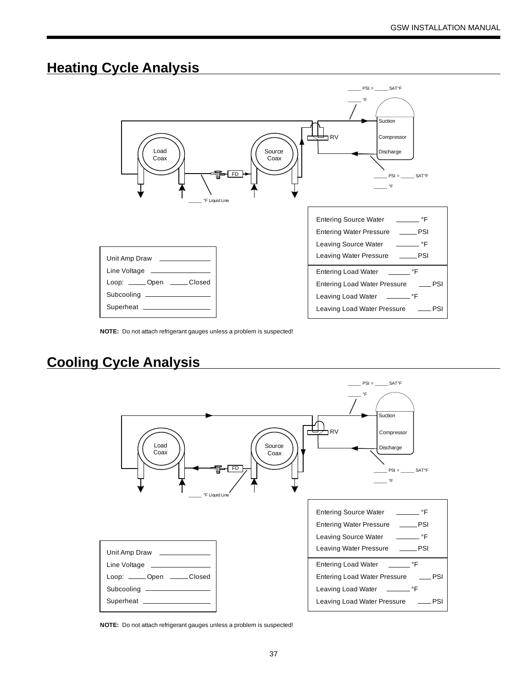### **Heating Cycle Analysis**



**NOTE:** Do not attach refrigerant gauges unless a problem is suspected!

# **Cooling Cycle Analysis**



**NOTE:** Do not attach refrigerant gauges unless a problem is suspected!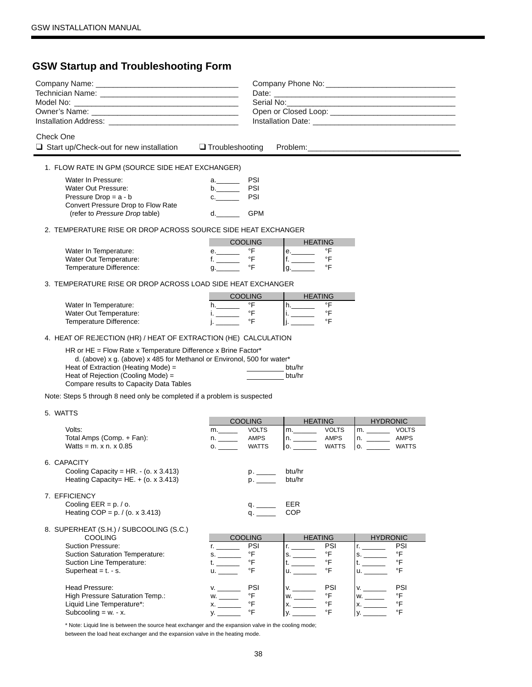### **GSW Startup and Troubleshooting Form**

| Check One                                                                                                                                                                 | $\Box$ Start up/Check-out for new installation $\Box$ Troubleshooting                                                                                                                                                                                            |                                                                                                                                                                                                                                                      |                                                                    |                                                                        |                                                          |                                                                                                       |                                                |  |
|---------------------------------------------------------------------------------------------------------------------------------------------------------------------------|------------------------------------------------------------------------------------------------------------------------------------------------------------------------------------------------------------------------------------------------------------------|------------------------------------------------------------------------------------------------------------------------------------------------------------------------------------------------------------------------------------------------------|--------------------------------------------------------------------|------------------------------------------------------------------------|----------------------------------------------------------|-------------------------------------------------------------------------------------------------------|------------------------------------------------|--|
|                                                                                                                                                                           | 1. FLOW RATE IN GPM (SOURCE SIDE HEAT EXCHANGER)                                                                                                                                                                                                                 |                                                                                                                                                                                                                                                      |                                                                    |                                                                        |                                                          |                                                                                                       |                                                |  |
| Water In Pressure:<br>Water Out Pressure:<br>Pressure Drop = $a - b$                                                                                                      | Convert Pressure Drop to Flow Rate<br>(refer to Pressure Drop table)                                                                                                                                                                                             | a._______<br>$b$ .<br>d. and the state of the state of the state of the state of the state of the state of the state of the state of the state of the state of the state of the state of the state of the state of the state of the state of the sta | <b>PSI</b><br><b>PSI</b><br><b>PSI</b><br><b>GPM</b>               |                                                                        |                                                          |                                                                                                       |                                                |  |
|                                                                                                                                                                           | 2. TEMPERATURE RISE OR DROP ACROSS SOURCE SIDE HEAT EXCHANGER                                                                                                                                                                                                    |                                                                                                                                                                                                                                                      |                                                                    |                                                                        |                                                          |                                                                                                       |                                                |  |
| Water In Temperature:<br>Water Out Temperature:<br>Temperature Difference:                                                                                                |                                                                                                                                                                                                                                                                  | <b>COOLING</b><br>e.<br>q. 1                                                                                                                                                                                                                         | $\mathsf{P}\mathsf{F}$<br>$\circ$ F<br>°F                          | <b>HEATING</b><br>$e$ .                                                | °F<br>°F<br>°F                                           |                                                                                                       |                                                |  |
|                                                                                                                                                                           | 3. TEMPERATURE RISE OR DROP ACROSS LOAD SIDE HEAT EXCHANGER                                                                                                                                                                                                      |                                                                                                                                                                                                                                                      |                                                                    |                                                                        |                                                          |                                                                                                       |                                                |  |
| Water In Temperature:<br>Water Out Temperature:<br>Temperature Difference:                                                                                                |                                                                                                                                                                                                                                                                  | <b>COOLING</b><br>$h_{\cdot}$<br>i. $\frac{1}{2}$                                                                                                                                                                                                    | $\mathsf{P}\mathsf{F}$<br>$\circ$ F<br>$\circ$ F                   | <b>HEATING</b><br>$h_{\cdot}$<br>i. $\frac{1}{2}$                      | °F<br>°F<br>°F                                           |                                                                                                       |                                                |  |
|                                                                                                                                                                           | 4. HEAT OF REJECTION (HR) / HEAT OF EXTRACTION (HE) CALCULATION                                                                                                                                                                                                  |                                                                                                                                                                                                                                                      |                                                                    |                                                                        |                                                          |                                                                                                       |                                                |  |
|                                                                                                                                                                           | HR or HE = Flow Rate x Temperature Difference x Brine Factor*<br>d. (above) x g. (above) x 485 for Methanol or Environol, 500 for water*<br>Heat of Extraction (Heating Mode) =<br>Heat of Rejection (Cooling Mode) =<br>Compare results to Capacity Data Tables |                                                                                                                                                                                                                                                      |                                                                    | btu/hr<br>btu/hr                                                       |                                                          |                                                                                                       |                                                |  |
|                                                                                                                                                                           | Note: Steps 5 through 8 need only be completed if a problem is suspected                                                                                                                                                                                         |                                                                                                                                                                                                                                                      |                                                                    |                                                                        |                                                          |                                                                                                       |                                                |  |
| 5. WATTS                                                                                                                                                                  |                                                                                                                                                                                                                                                                  |                                                                                                                                                                                                                                                      |                                                                    |                                                                        |                                                          |                                                                                                       |                                                |  |
| Volts:<br>Total Amps (Comp. + Fan):<br>Watts = $m. x n. x 0.85$                                                                                                           |                                                                                                                                                                                                                                                                  | <b>COOLING</b><br>$m_{\cdot}$<br>n.<br>0.                                                                                                                                                                                                            | <b>VOLTS</b><br>AMPS<br><b>WATTS</b>                               | HEATING<br>n.<br>0.                                                    | AMPS<br><b>WATTS</b>                                     | <b>HYDRONIC</b><br>n. ____________ AMPS                                                               | <b>WATTS</b>                                   |  |
| 6. CAPACITY                                                                                                                                                               | Cooling Capacity = HR. - (o. x 3.413)<br>Heating Capacity= HE. + (o. x 3.413)                                                                                                                                                                                    |                                                                                                                                                                                                                                                      | $p_{\cdot}$<br>p.                                                  | btu/hr<br>btu/hr                                                       |                                                          |                                                                                                       |                                                |  |
| 7. EFFICIENCY<br>Cooling $EER = p. / o.$                                                                                                                                  | Heating COP = $p. / (o. x 3.413)$                                                                                                                                                                                                                                |                                                                                                                                                                                                                                                      | q.                                                                 | EER<br>COP                                                             |                                                          |                                                                                                       |                                                |  |
| <b>COOLING</b><br><b>Suction Pressure:</b><br>Suction Line Temperature:<br>Superheat = $t - s$ .<br>Head Pressure:<br>Liquid Line Temperature*:<br>Subcooling = $w. - x.$ | 8. SUPERHEAT (S.H.) / SUBCOOLING (S.C.)<br><b>Suction Saturation Temperature:</b><br>High Pressure Saturation Temp.:                                                                                                                                             | <b>COOLING</b><br>$\mathsf{r}$ .<br>$u_{\cdot}$<br>W.                                                                                                                                                                                                | PSI<br>$\mathsf{P}\mathsf{F}$<br>°F<br>°F<br>PSI<br>°F<br>°F<br>°F | <b>HEATING</b><br>t. $\_\_$<br>$\mathsf{u}$ . $\mathsf{u}$<br>V.<br>y. | PSI<br>°F<br>°F<br>°F<br>PSI<br>°F<br>°F<br>$\mathsf{P}$ | <b>HYDRONIC</b><br>$r_{\rm t}$ and $r_{\rm t}$<br>$t =$<br>$\mathsf{u}$ . $\qquad \qquad$<br>W.<br>y. | PSI<br>°F<br>°F<br>°F<br>PSI<br>°F<br>°F<br>°F |  |
|                                                                                                                                                                           |                                                                                                                                                                                                                                                                  |                                                                                                                                                                                                                                                      |                                                                    |                                                                        |                                                          |                                                                                                       |                                                |  |

\* Note: Liquid line is between the source heat exchanger and the expansion valve in the cooling mode; between the load heat exchanger and the expansion valve in the heating mode.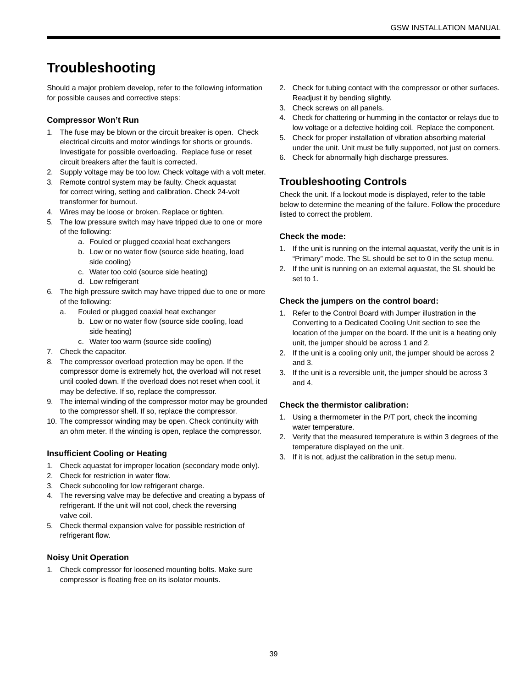### **Troubleshooting**

Should a major problem develop, refer to the following information for possible causes and corrective steps:

#### **Compressor Won't Run**

- 1. The fuse may be blown or the circuit breaker is open. Check electrical circuits and motor windings for shorts or grounds. Investigate for possible overloading. Replace fuse or reset circuit breakers after the fault is corrected.
- 2. Supply voltage may be too low. Check voltage with a volt meter.
- 3. Remote control system may be faulty. Check aquastat for correct wiring, setting and calibration. Check 24-volt transformer for burnout.
- 4. Wires may be loose or broken. Replace or tighten.
- 5. The low pressure switch may have tripped due to one or more of the following:
	- a. Fouled or plugged coaxial heat exchangers
	- b. Low or no water flow (source side heating, load side cooling)
	- c. Water too cold (source side heating)
	- d. Low refrigerant
- 6. The high pressure switch may have tripped due to one or more of the following:
	- a. Fouled or plugged coaxial heat exchanger
		- b. Low or no water flow (source side cooling, load side heating)
		- c. Water too warm (source side cooling)
- 7. Check the capacitor.
- 8. The compressor overload protection may be open. If the compressor dome is extremely hot, the overload will not reset until cooled down. If the overload does not reset when cool, it may be defective. If so, replace the compressor.
- 9. The internal winding of the compressor motor may be grounded to the compressor shell. If so, replace the compressor.
- 10. The compressor winding may be open. Check continuity with an ohm meter. If the winding is open, replace the compressor.

#### **Insufficient Cooling or Heating**

- 1. Check aquastat for improper location (secondary mode only).
- 2. Check for restriction in water flow.
- 3. Check subcooling for low refrigerant charge.
- 4. The reversing valve may be defective and creating a bypass of refrigerant. If the unit will not cool, check the reversing valve coil.
- 5. Check thermal expansion valve for possible restriction of refrigerant flow.

#### **Noisy Unit Operation**

1. Check compressor for loosened mounting bolts. Make sure compressor is floating free on its isolator mounts.

- 2. Check for tubing contact with the compressor or other surfaces. Readjust it by bending slightly.
- 3. Check screws on all panels.
- 4. Check for chattering or humming in the contactor or relays due to low voltage or a defective holding coil. Replace the component.
- 5. Check for proper installation of vibration absorbing material under the unit. Unit must be fully supported, not just on corners.
- 6. Check for abnormally high discharge pressures.

### **Troubleshooting Controls**

Check the unit. If a lockout mode is displayed, refer to the table below to determine the meaning of the failure. Follow the procedure listed to correct the problem.

#### **Check the mode:**

- 1. If the unit is running on the internal aquastat, verify the unit is in "Primary" mode. The SL should be set to 0 in the setup menu.
- 2. If the unit is running on an external aquastat, the SL should be set to 1.

#### **Check the jumpers on the control board:**

- 1. Refer to the Control Board with Jumper illustration in the Converting to a Dedicated Cooling Unit section to see the location of the jumper on the board. If the unit is a heating only unit, the jumper should be across 1 and 2.
- 2. If the unit is a cooling only unit, the jumper should be across 2 and 3.
- 3. If the unit is a reversible unit, the jumper should be across 3 and 4.

#### **Check the thermistor calibration:**

- 1. Using a thermometer in the P/T port, check the incoming water temperature.
- 2. Verify that the measured temperature is within 3 degrees of the temperature displayed on the unit.
- 3. If it is not, adjust the calibration in the setup menu.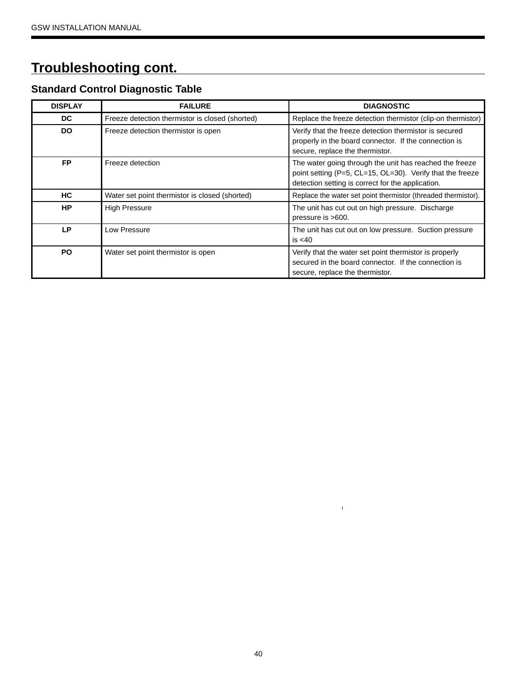# **Troubleshooting cont.**

### **Standard Control Diagnostic Table**

| <b>DISPLAY</b> | <b>FAILURE</b>                                  | <b>DIAGNOSTIC</b>                                                                                                                                                         |
|----------------|-------------------------------------------------|---------------------------------------------------------------------------------------------------------------------------------------------------------------------------|
| DC.            | Freeze detection thermistor is closed (shorted) | Replace the freeze detection thermistor (clip-on thermistor)                                                                                                              |
| <b>DO</b>      | Freeze detection thermistor is open             | Verify that the freeze detection thermistor is secured<br>properly in the board connector. If the connection is<br>secure, replace the thermistor.                        |
| <b>FP</b>      | Freeze detection                                | The water going through the unit has reached the freeze<br>point setting (P=5, CL=15, OL=30). Verify that the freeze<br>detection setting is correct for the application. |
| <b>HC</b>      | Water set point thermistor is closed (shorted)  | Replace the water set point thermistor (threaded thermistor).                                                                                                             |
| <b>HP</b>      | <b>High Pressure</b>                            | The unit has cut out on high pressure. Discharge<br>pressure is >600.                                                                                                     |
| LΡ             | Low Pressure                                    | The unit has cut out on low pressure. Suction pressure<br>is $<$ 40                                                                                                       |
| <b>PO</b>      | Water set point thermistor is open              | Verify that the water set point thermistor is properly<br>secured in the board connector. If the connection is<br>secure, replace the thermistor.                         |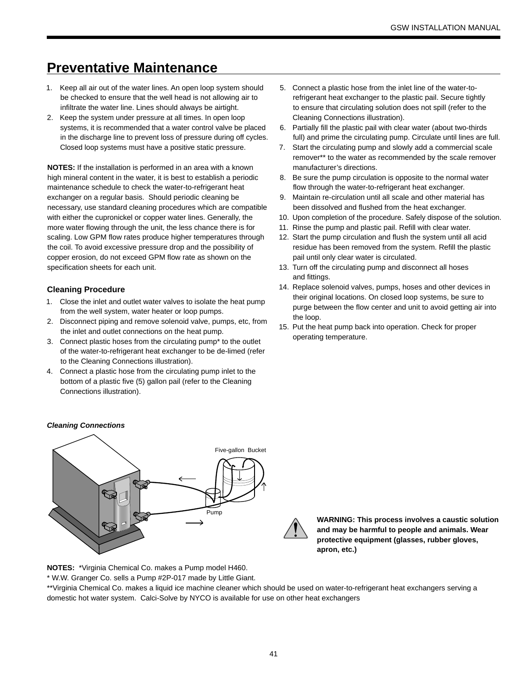### **Preventative Maintenance**

- 1. Keep all air out of the water lines. An open loop system should be checked to ensure that the well head is not allowing air to infiltrate the water line. Lines should always be airtight.
- 2. Keep the system under pressure at all times. In open loop systems, it is recommended that a water control valve be placed in the discharge line to prevent loss of pressure during off cycles. Closed loop systems must have a positive static pressure.

**NOTES:** If the installation is performed in an area with a known high mineral content in the water, it is best to establish a periodic maintenance schedule to check the water-to-refrigerant heat exchanger on a regular basis. Should periodic cleaning be necessary, use standard cleaning procedures which are compatible with either the cupronickel or copper water lines. Generally, the more water flowing through the unit, the less chance there is for scaling. Low GPM flow rates produce higher temperatures through the coil. To avoid excessive pressure drop and the possibility of copper erosion, do not exceed GPM flow rate as shown on the specification sheets for each unit.

#### **Cleaning Procedure**

- 1. Close the inlet and outlet water valves to isolate the heat pump from the well system, water heater or loop pumps.
- 2. Disconnect piping and remove solenoid valve, pumps, etc, from the inlet and outlet connections on the heat pump.
- 3. Connect plastic hoses from the circulating pump\* to the outlet of the water-to-refrigerant heat exchanger to be de-limed (refer to the Cleaning Connections illustration).
- 4. Connect a plastic hose from the circulating pump inlet to the bottom of a plastic five (5) gallon pail (refer to the Cleaning Connections illustration).
- 5. Connect a plastic hose from the inlet line of the water-torefrigerant heat exchanger to the plastic pail. Secure tightly to ensure that circulating solution does not spill (refer to the Cleaning Connections illustration).
- 6. Partially fill the plastic pail with clear water (about two-thirds full) and prime the circulating pump. Circulate until lines are full.
- 7. Start the circulating pump and slowly add a commercial scale remover\*\* to the water as recommended by the scale remover manufacturer's directions.
- 8. Be sure the pump circulation is opposite to the normal water flow through the water-to-refrigerant heat exchanger.
- 9. Maintain re-circulation until all scale and other material has been dissolved and flushed from the heat exchanger.
- 10. Upon completion of the procedure. Safely dispose of the solution.
- 11. Rinse the pump and plastic pail. Refill with clear water.
- 12. Start the pump circulation and flush the system until all acid residue has been removed from the system. Refill the plastic pail until only clear water is circulated.
- 13. Turn off the circulating pump and disconnect all hoses and fittings.
- 14. Replace solenoid valves, pumps, hoses and other devices in their original locations. On closed loop systems, be sure to purge between the flow center and unit to avoid getting air into the loop.
- 15. Put the heat pump back into operation. Check for proper operating temperature.

#### *Cleaning Connections*



**WARNING: This process involves a caustic solution and may be harmful to people and animals. Wear protective equipment (glasses, rubber gloves, apron, etc.)**

**NOTES:** \*Virginia Chemical Co. makes a Pump model H460.

\* W.W. Granger Co. sells a Pump #2P-017 made by Little Giant.

\*\*Virginia Chemical Co. makes a liquid ice machine cleaner which should be used on water-to-refrigerant heat exchangers serving a domestic hot water system. Calci-Solve by NYCO is available for use on other heat exchangers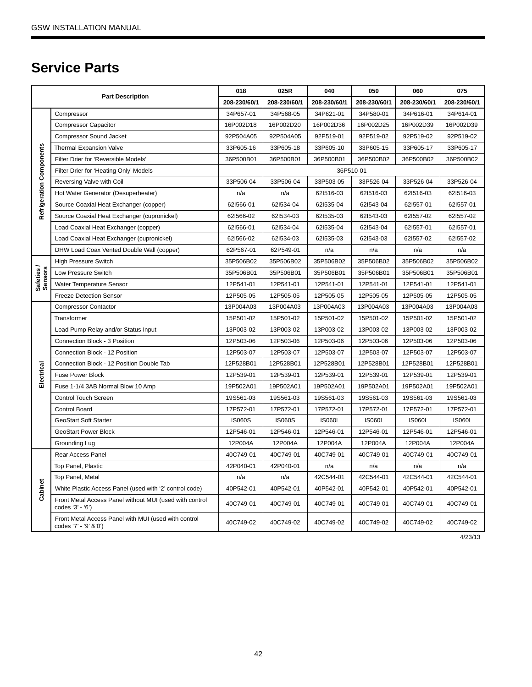# **Service Parts**

| <b>Part Description</b>         |                                                                               | 018           | 025R          | 040           | 050           | 060           | 075           |  |  |
|---------------------------------|-------------------------------------------------------------------------------|---------------|---------------|---------------|---------------|---------------|---------------|--|--|
|                                 |                                                                               | 208-230/60/1  | 208-230/60/1  | 208-230/60/1  | 208-230/60/1  | 208-230/60/1  | 208-230/60/1  |  |  |
| <b>Refrigeration Components</b> | Compressor                                                                    | 34P657-01     | 34P568-05     | 34P621-01     | 34P580-01     | 34P616-01     | 34P614-01     |  |  |
|                                 | <b>Compressor Capacitor</b>                                                   | 16P002D18     | 16P002D20     | 16P002D36     | 16P002D25     | 16P002D39     | 16P002D39     |  |  |
|                                 | Compressor Sound Jacket                                                       | 92P504A05     | 92P504A05     | 92P519-01     | 92P519-02     | 92P519-02     | 92P519-02     |  |  |
|                                 | <b>Thermal Expansion Valve</b>                                                | 33P605-16     | 33P605-18     | 33P605-10     | 33P605-15     | 33P605-17     | 33P605-17     |  |  |
|                                 | Filter Drier for 'Reversible Models'                                          | 36P500B01     | 36P500B01     | 36P500B01     | 36P500B02     | 36P500B02     | 36P500B02     |  |  |
|                                 | Filter Drier for 'Heating Only' Models                                        |               | 36P510-01     |               |               |               |               |  |  |
|                                 | Reversing Valve with Coil                                                     | 33P506-04     | 33P506-04     | 33P503-05     | 33P526-04     | 33P526-04     | 33P526-04     |  |  |
|                                 | Hot Water Generator (Desuperheater)                                           | n/a           | n/a           | 621516-03     | 621516-03     | 621516-03     | 621516-03     |  |  |
|                                 | Source Coaxial Heat Exchanger (copper)                                        | 621566-01     | 621534-04     | 621535-04     | 621543-04     | 621557-01     | 621557-01     |  |  |
|                                 | Source Coaxial Heat Exchanger (cupronickel)                                   | 621566-02     | 621534-03     | 621535-03     | 621543-03     | 621557-02     | 621557-02     |  |  |
|                                 | Load Coaxial Heat Exchanger (copper)                                          | 621566-01     | 621534-04     | 621535-04     | 621543-04     | 621557-01     | 621557-01     |  |  |
|                                 | Load Coaxial Heat Exchanger (cupronickel)                                     | 621566-02     | 621534-03     | 621535-03     | 621543-03     | 621557-02     | 621557-02     |  |  |
|                                 | DHW Load Coax Vented Double Wall (copper)                                     | 62P567-01     | 62P549-01     | n/a           | n/a           | n/a           | n/a           |  |  |
|                                 | <b>High Pressure Switch</b>                                                   | 35P506B02     | 35P506B02     | 35P506B02     | 35P506B02     | 35P506B02     | 35P506B02     |  |  |
| Safeties/<br>Sensors            | Low Pressure Switch                                                           | 35P506B01     | 35P506B01     | 35P506B01     | 35P506B01     | 35P506B01     | 35P506B01     |  |  |
|                                 | Water Temperature Sensor                                                      | 12P541-01     | 12P541-01     | 12P541-01     | 12P541-01     | 12P541-01     | 12P541-01     |  |  |
|                                 | <b>Freeze Detection Sensor</b>                                                | 12P505-05     | 12P505-05     | 12P505-05     | 12P505-05     | 12P505-05     | 12P505-05     |  |  |
|                                 | <b>Compressor Contactor</b>                                                   | 13P004A03     | 13P004A03     | 13P004A03     | 13P004A03     | 13P004A03     | 13P004A03     |  |  |
|                                 | Transformer                                                                   | 15P501-02     | 15P501-02     | 15P501-02     | 15P501-02     | 15P501-02     | 15P501-02     |  |  |
|                                 | Load Pump Relay and/or Status Input                                           | 13P003-02     | 13P003-02     | 13P003-02     | 13P003-02     | 13P003-02     | 13P003-02     |  |  |
|                                 | Connection Block - 3 Position                                                 | 12P503-06     | 12P503-06     | 12P503-06     | 12P503-06     | 12P503-06     | 12P503-06     |  |  |
|                                 | Connection Block - 12 Position                                                | 12P503-07     | 12P503-07     | 12P503-07     | 12P503-07     | 12P503-07     | 12P503-07     |  |  |
|                                 | Connection Block - 12 Position Double Tab                                     | 12P528B01     | 12P528B01     | 12P528B01     | 12P528B01     | 12P528B01     | 12P528B01     |  |  |
| Electrical                      | <b>Fuse Power Block</b>                                                       | 12P539-01     | 12P539-01     | 12P539-01     | 12P539-01     | 12P539-01     | 12P539-01     |  |  |
|                                 | Fuse 1-1/4 3AB Normal Blow 10 Amp                                             | 19P502A01     | 19P502A01     | 19P502A01     | 19P502A01     | 19P502A01     | 19P502A01     |  |  |
|                                 | <b>Control Touch Screen</b>                                                   | 19S561-03     | 19S561-03     | 19S561-03     | 19S561-03     | 19S561-03     | 19S561-03     |  |  |
|                                 | Control Board                                                                 | 17P572-01     | 17P572-01     | 17P572-01     | 17P572-01     | 17P572-01     | 17P572-01     |  |  |
|                                 | GeoStart Soft Starter                                                         | <b>IS060S</b> | <b>IS060S</b> | <b>IS060L</b> | <b>IS060L</b> | <b>IS060L</b> | <b>IS060L</b> |  |  |
|                                 | <b>GeoStart Power Block</b>                                                   | 12P546-01     | 12P546-01     | 12P546-01     | 12P546-01     | 12P546-01     | 12P546-01     |  |  |
|                                 | Grounding Lug                                                                 | 12P004A       | 12P004A       | 12P004A       | 12P004A       | 12P004A       | 12P004A       |  |  |
|                                 | Rear Access Panel                                                             | 40C749-01     | 40C749-01     | 40C749-01     | 40C749-01     | 40C749-01     | 40C749-01     |  |  |
| Cabinet                         | Top Panel, Plastic                                                            | 42P040-01     | 42P040-01     | n/a           | n/a           | n/a           | n/a           |  |  |
|                                 | Top Panel, Metal                                                              | n/a           | n/a           | 42C544-01     | 42C544-01     | 42C544-01     | 42C544-01     |  |  |
|                                 | White Plastic Access Panel (used with '2' control code)                       | 40P542-01     | 40P542-01     | 40P542-01     | 40P542-01     | 40P542-01     | 40P542-01     |  |  |
|                                 | Front Metal Access Panel without MUI (used with control<br>codes '3' - '6')   | 40C749-01     | 40C749-01     | 40C749-01     | 40C749-01     | 40C749-01     | 40C749-01     |  |  |
|                                 | Front Metal Access Panel with MUI (used with control<br>codes '7' - '9' &'0') | 40C749-02     | 40C749-02     | 40C749-02     | 40C749-02     | 40C749-02     | 40C749-02     |  |  |

4/23/13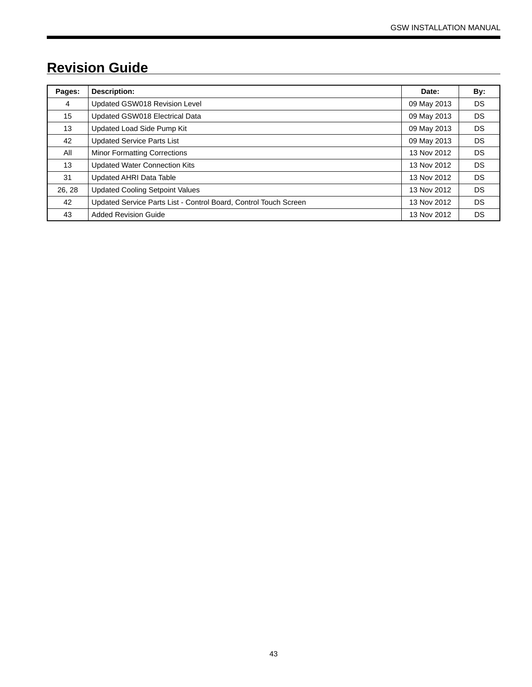# **Revision Guide**

| Pages: | Description:                                                     | Date:       | By: |
|--------|------------------------------------------------------------------|-------------|-----|
| 4      | Updated GSW018 Revision Level                                    | 09 May 2013 | DS. |
| 15     | Updated GSW018 Electrical Data                                   | 09 May 2013 | DS. |
| 13     | Updated Load Side Pump Kit                                       | 09 May 2013 | DS. |
| 42     | <b>Updated Service Parts List</b>                                | 09 May 2013 | DS. |
| All    | <b>Minor Formatting Corrections</b>                              | 13 Nov 2012 | DS. |
| 13     | <b>Updated Water Connection Kits</b>                             | 13 Nov 2012 | DS. |
| 31     | <b>Updated AHRI Data Table</b>                                   | 13 Nov 2012 | DS. |
| 26, 28 | <b>Updated Cooling Setpoint Values</b>                           | 13 Nov 2012 | DS. |
| 42     | Updated Service Parts List - Control Board, Control Touch Screen | 13 Nov 2012 | DS. |
| 43     | <b>Added Revision Guide</b>                                      | 13 Nov 2012 | DS  |